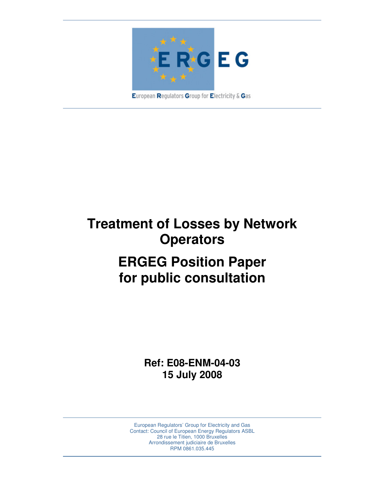

**Treatment of Losses by Network Operators ERGEG Position Paper for public consultation** 

> **Ref: E08-ENM-04-03 15 July 2008**

European Regulators' Group for Electricity and Gas Contact: Council of European Energy Regulators ASBL 28 rue le Titien, 1000 Bruxelles Arrondissement judiciaire de Bruxelles RPM 0861.035.445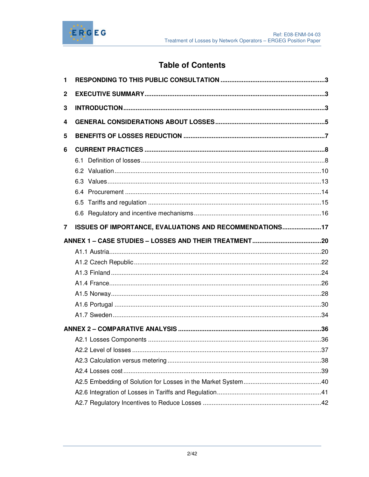

# **Table of Contents**

| 1              |                                                         |  |
|----------------|---------------------------------------------------------|--|
| $\mathbf{2}$   |                                                         |  |
| 3              |                                                         |  |
| 4              |                                                         |  |
| 5              |                                                         |  |
| 6              |                                                         |  |
|                |                                                         |  |
|                |                                                         |  |
|                |                                                         |  |
|                |                                                         |  |
|                |                                                         |  |
|                |                                                         |  |
| $\overline{7}$ | ISSUES OF IMPORTANCE, EVALUATIONS AND RECOMMENDATIONS17 |  |
|                |                                                         |  |
|                |                                                         |  |
|                |                                                         |  |
|                |                                                         |  |
|                |                                                         |  |
|                |                                                         |  |
|                |                                                         |  |
|                |                                                         |  |
|                |                                                         |  |
|                |                                                         |  |
|                |                                                         |  |
|                |                                                         |  |
|                |                                                         |  |
|                |                                                         |  |
|                |                                                         |  |
|                |                                                         |  |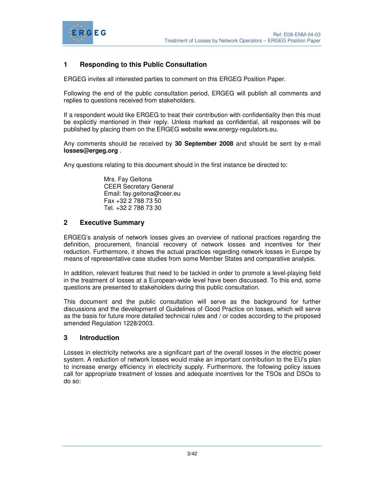

## **1 Responding to this Public Consultation**

ERGEG invites all interested parties to comment on this ERGEG Position Paper.

Following the end of the public consultation period, ERGEG will publish all comments and replies to questions received from stakeholders.

If a respondent would like ERGEG to treat their contribution with confidentiality then this must be explicitly mentioned in their reply. Unless marked as confidential, all responses will be published by placing them on the ERGEG website www.energy-regulators.eu.

Any comments should be received by **30 September 2008** and should be sent by e-mail **losses@ergeg.org** .

Any questions relating to this document should in the first instance be directed to:

 Mrs. Fay Geitona CEER Secretary General Email: fay.geitona@ceer.eu Fax +32 2 788 73 50 Tel. +32 2 788 73 30

## **2 Executive Summary**

ERGEG's analysis of network losses gives an overview of national practices regarding the definition, procurement, financial recovery of network losses and incentives for their reduction. Furthermore, it shows the actual practices regarding network losses in Europe by means of representative case studies from some Member States and comparative analysis.

In addition, relevant features that need to be tackled in order to promote a level-playing field in the treatment of losses at a European-wide level have been discussed. To this end, some questions are presented to stakeholders during this public consultation.

This document and the public consultation will serve as the background for further discussions and the development of Guidelines of Good Practice on losses, which will serve as the basis for future more detailed technical rules and / or codes according to the proposed amended Regulation 1228/2003.

## **3 Introduction**

Losses in electricity networks are a significant part of the overall losses in the electric power system. A reduction of network losses would make an important contribution to the EU's plan to increase energy efficiency in electricity supply. Furthermore, the following policy issues call for appropriate treatment of losses and adequate incentives for the TSOs and DSOs to do so: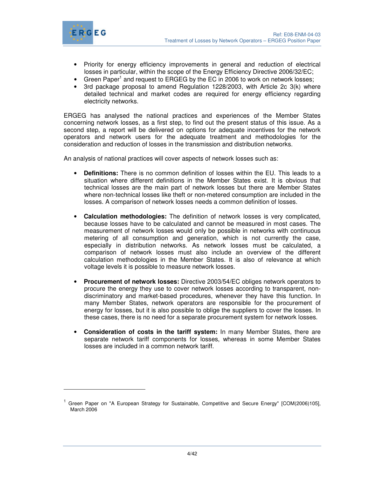



 $\ddot{ }$ 

- Priority for energy efficiency improvements in general and reduction of electrical losses in particular, within the scope of the Energy Efficiency Directive 2006/32/EC;
- Green Paper<sup>1</sup> and request to ERGEG by the EC in 2006 to work on network losses;
- 3rd package proposal to amend Regulation 1228/2003, with Article 2c 3(k) where detailed technical and market codes are required for energy efficiency regarding electricity networks.

ERGEG has analysed the national practices and experiences of the Member States concerning network losses, as a first step, to find out the present status of this issue. As a second step, a report will be delivered on options for adequate incentives for the network operators and network users for the adequate treatment and methodologies for the consideration and reduction of losses in the transmission and distribution networks.

An analysis of national practices will cover aspects of network losses such as:

- **Definitions:** There is no common definition of losses within the EU. This leads to a situation where different definitions in the Member States exist. It is obvious that technical losses are the main part of network losses but there are Member States where non-technical losses like theft or non-metered consumption are included in the losses. A comparison of network losses needs a common definition of losses.
- **Calculation methodologies:** The definition of network losses is very complicated, because losses have to be calculated and cannot be measured in most cases. The measurement of network losses would only be possible in networks with continuous metering of all consumption and generation, which is not currently the case, especially in distribution networks. As network losses must be calculated, a comparison of network losses must also include an overview of the different calculation methodologies in the Member States. It is also of relevance at which voltage levels it is possible to measure network losses.
- **Procurement of network losses:** Directive 2003/54/EC obliges network operators to procure the energy they use to cover network losses according to transparent, nondiscriminatory and market-based procedures, whenever they have this function. In many Member States, network operators are responsible for the procurement of energy for losses, but it is also possible to oblige the suppliers to cover the losses. In these cases, there is no need for a separate procurement system for network losses.
- **Consideration of costs in the tariff system:** In many Member States, there are separate network tariff components for losses, whereas in some Member States losses are included in a common network tariff.

<sup>&</sup>lt;sup>1</sup> Green Paper on "A European Strategy for Sustainable, Competitive and Secure Energy" [COM(2006)105], March 2006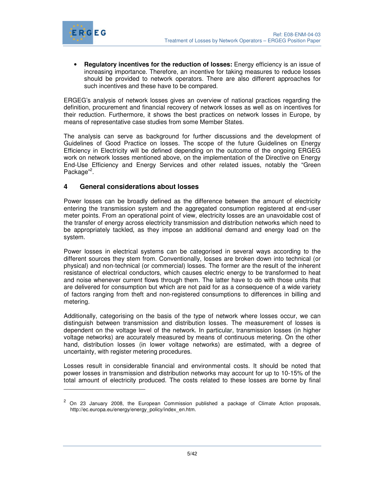

 $\ddot{ }$ 

• **Regulatory incentives for the reduction of losses:** Energy efficiency is an issue of increasing importance. Therefore, an incentive for taking measures to reduce losses should be provided to network operators. There are also different approaches for such incentives and these have to be compared.

ERGEG's analysis of network losses gives an overview of national practices regarding the definition, procurement and financial recovery of network losses as well as on incentives for their reduction. Furthermore, it shows the best practices on network losses in Europe, by means of representative case studies from some Member States.

The analysis can serve as background for further discussions and the development of Guidelines of Good Practice on losses. The scope of the future Guidelines on Energy Efficiency in Electricity will be defined depending on the outcome of the ongoing ERGEG work on network losses mentioned above, on the implementation of the Directive on Energy End-Use Efficiency and Energy Services and other related issues, notably the "Green Package"<sup>2</sup>.

## **4 General considerations about losses**

Power losses can be broadly defined as the difference between the amount of electricity entering the transmission system and the aggregated consumption registered at end-user meter points. From an operational point of view, electricity losses are an unavoidable cost of the transfer of energy across electricity transmission and distribution networks which need to be appropriately tackled, as they impose an additional demand and energy load on the system.

Power losses in electrical systems can be categorised in several ways according to the different sources they stem from. Conventionally, losses are broken down into technical (or physical) and non-technical (or commercial) losses. The former are the result of the inherent resistance of electrical conductors, which causes electric energy to be transformed to heat and noise whenever current flows through them. The latter have to do with those units that are delivered for consumption but which are not paid for as a consequence of a wide variety of factors ranging from theft and non-registered consumptions to differences in billing and metering.

Additionally, categorising on the basis of the type of network where losses occur, we can distinguish between transmission and distribution losses. The measurement of losses is dependent on the voltage level of the network. In particular, transmission losses (in higher voltage networks) are accurately measured by means of continuous metering. On the other hand, distribution losses (in lower voltage networks) are estimated, with a degree of uncertainty, with register metering procedures.

Losses result in considerable financial and environmental costs. It should be noted that power losses in transmission and distribution networks may account for up to 10-15% of the total amount of electricity produced. The costs related to these losses are borne by final

<sup>&</sup>lt;sup>2</sup> On 23 January 2008, the European Commission published a package of Climate Action proposals, http://ec.europa.eu/energy/energy\_policy/index\_en.htm.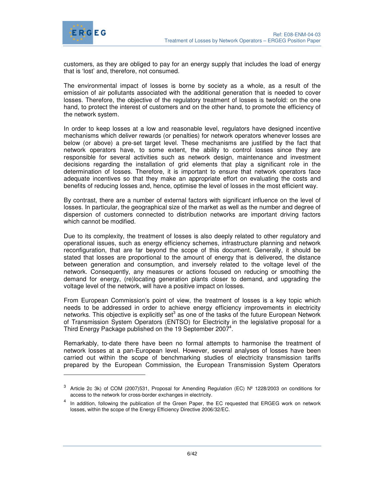

-

customers, as they are obliged to pay for an energy supply that includes the load of energy that is 'lost' and, therefore, not consumed.

The environmental impact of losses is borne by society as a whole, as a result of the emission of air pollutants associated with the additional generation that is needed to cover losses. Therefore, the objective of the regulatory treatment of losses is twofold: on the one hand, to protect the interest of customers and on the other hand, to promote the efficiency of the network system.

In order to keep losses at a low and reasonable level, regulators have designed incentive mechanisms which deliver rewards (or penalties) for network operators whenever losses are below (or above) a pre-set target level. These mechanisms are justified by the fact that network operators have, to some extent, the ability to control losses since they are responsible for several activities such as network design, maintenance and investment decisions regarding the installation of grid elements that play a significant role in the determination of losses. Therefore, it is important to ensure that network operators face adequate incentives so that they make an appropriate effort on evaluating the costs and benefits of reducing losses and, hence, optimise the level of losses in the most efficient way.

By contrast, there are a number of external factors with significant influence on the level of losses. In particular, the geographical size of the market as well as the number and degree of dispersion of customers connected to distribution networks are important driving factors which cannot be modified.

Due to its complexity, the treatment of losses is also deeply related to other regulatory and operational issues, such as energy efficiency schemes, infrastructure planning and network reconfiguration, that are far beyond the scope of this document. Generally, it should be stated that losses are proportional to the amount of energy that is delivered, the distance between generation and consumption, and inversely related to the voltage level of the network. Consequently, any measures or actions focused on reducing or smoothing the demand for energy, (re)locating generation plants closer to demand, and upgrading the voltage level of the network, will have a positive impact on losses.

From European Commission's point of view, the treatment of losses is a key topic which needs to be addressed in order to achieve energy efficiency improvements in electricity networks. This objective is explicitly set<sup>3</sup> as one of the tasks of the future European Network of Transmission System Operators (ENTSO) for Electricity in the legislative proposal for a Third Energy Package published on the 19 September 2007<sup>4</sup>.

Remarkably, to-date there have been no formal attempts to harmonise the treatment of network losses at a pan-European level. However, several analyses of losses have been carried out within the scope of benchmarking studies of electricity transmission tariffs prepared by the European Commission, the European Transmission System Operators

<sup>&</sup>lt;sup>3</sup> Article 2c 3k) of COM (2007)531, Proposal for Amending Regulation (EC) Nº 1228/2003 on conditions for access to the network for cross-border exchanges in electricity.

<sup>&</sup>lt;sup>4</sup> In addition, following the publication of the Green Paper, the EC requested that ERGEG work on network losses, within the scope of the Energy Efficiency Directive 2006/32/EC.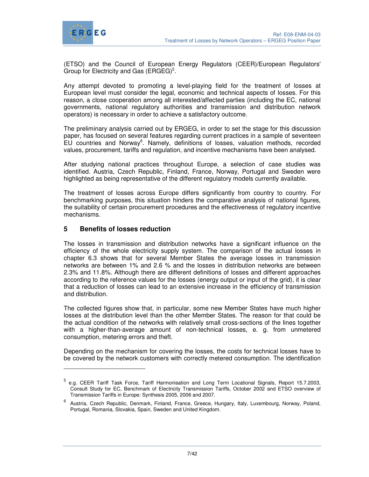

(ETSO) and the Council of European Energy Regulators (CEER)/European Regulators' Group for Electricity and Gas  $(ERGEG)^5$ .

Any attempt devoted to promoting a level-playing field for the treatment of losses at European level must consider the legal, economic and technical aspects of losses. For this reason, a close cooperation among all interested/affected parties (including the EC, national governments, national regulatory authorities and transmission and distribution network operators) is necessary in order to achieve a satisfactory outcome.

The preliminary analysis carried out by ERGEG, in order to set the stage for this discussion paper, has focused on several features regarding current practices in a sample of seventeen EU countries and Norway<sup>6</sup>. Namely, definitions of losses, valuation methods, recorded values, procurement, tariffs and regulation, and incentive mechanisms have been analysed.

After studying national practices throughout Europe, a selection of case studies was identified. Austria, Czech Republic, Finland, France, Norway, Portugal and Sweden were highlighted as being representative of the different regulatory models currently available.

The treatment of losses across Europe differs significantly from country to country. For benchmarking purposes, this situation hinders the comparative analysis of national figures, the suitability of certain procurement procedures and the effectiveness of regulatory incentive mechanisms.

## **5 Benefits of losses reduction**

-

The losses in transmission and distribution networks have a significant influence on the efficiency of the whole electricity supply system. The comparison of the actual losses in chapter 6.3 shows that for several Member States the average losses in transmission networks are between 1% and 2.6 % and the losses in distribution networks are between 2.3% and 11.8%. Although there are different definitions of losses and different approaches according to the reference values for the losses (energy output or input of the grid), it is clear that a reduction of losses can lead to an extensive increase in the efficiency of transmission and distribution.

The collected figures show that, in particular, some new Member States have much higher losses at the distribution level than the other Member States. The reason for that could be the actual condition of the networks with relatively small cross-sections of the lines together with a higher-than-average amount of non-technical losses, e. g. from unmetered consumption, metering errors and theft.

Depending on the mechanism for covering the losses, the costs for technical losses have to be covered by the network customers with correctly metered consumption. The identification

<sup>5</sup> e.g. CEER Tariff Task Force, Tariff Harmonisation and Long Term Locational Signals, Report 15.7.2003, Consult Study for EC, Benchmark of Electricity Transmission Tariffs, October 2002 and ETSO overview of Transmission Tariffs in Europe: Synthesis 2005, 2006 and 2007.

<sup>&</sup>lt;sup>6</sup> Austria, Czech Republic, Denmark, Finland, France, Greece, Hungary, Italy, Luxembourg, Norway, Poland, Portugal, Romania, Slovakia, Spain, Sweden and United Kingdom.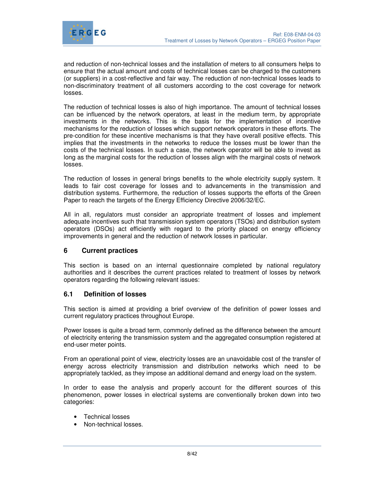

and reduction of non-technical losses and the installation of meters to all consumers helps to ensure that the actual amount and costs of technical losses can be charged to the customers (or suppliers) in a cost-reflective and fair way. The reduction of non-technical losses leads to non-discriminatory treatment of all customers according to the cost coverage for network losses.

The reduction of technical losses is also of high importance. The amount of technical losses can be influenced by the network operators, at least in the medium term, by appropriate investments in the networks. This is the basis for the implementation of incentive mechanisms for the reduction of losses which support network operators in these efforts. The pre-condition for these incentive mechanisms is that they have overall positive effects. This implies that the investments in the networks to reduce the losses must be lower than the costs of the technical losses. In such a case, the network operator will be able to invest as long as the marginal costs for the reduction of losses align with the marginal costs of network losses.

The reduction of losses in general brings benefits to the whole electricity supply system. It leads to fair cost coverage for losses and to advancements in the transmission and distribution systems. Furthermore, the reduction of losses supports the efforts of the Green Paper to reach the targets of the Energy Efficiency Directive 2006/32/EC.

All in all, regulators must consider an appropriate treatment of losses and implement adequate incentives such that transmission system operators (TSOs) and distribution system operators (DSOs) act efficiently with regard to the priority placed on energy efficiency improvements in general and the reduction of network losses in particular.

## **6 Current practices**

This section is based on an internal questionnaire completed by national regulatory authorities and it describes the current practices related to treatment of losses by network operators regarding the following relevant issues:

## **6.1 Definition of losses**

This section is aimed at providing a brief overview of the definition of power losses and current regulatory practices throughout Europe.

Power losses is quite a broad term, commonly defined as the difference between the amount of electricity entering the transmission system and the aggregated consumption registered at end-user meter points.

From an operational point of view, electricity losses are an unavoidable cost of the transfer of energy across electricity transmission and distribution networks which need to be appropriately tackled, as they impose an additional demand and energy load on the system.

In order to ease the analysis and properly account for the different sources of this phenomenon, power losses in electrical systems are conventionally broken down into two categories:

- Technical losses
- Non-technical losses.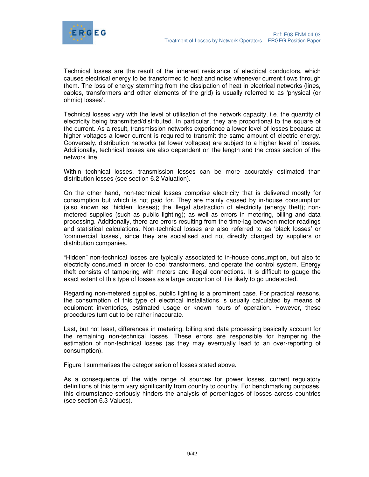



Technical losses are the result of the inherent resistance of electrical conductors, which causes electrical energy to be transformed to heat and noise whenever current flows through them. The loss of energy stemming from the dissipation of heat in electrical networks (lines, cables, transformers and other elements of the grid) is usually referred to as 'physical (or ohmic) losses'.

Technical losses vary with the level of utilisation of the network capacity, i.e. the quantity of electricity being transmitted/distributed. In particular, they are proportional to the square of the current. As a result, transmission networks experience a lower level of losses because at higher voltages a lower current is required to transmit the same amount of electric energy. Conversely, distribution networks (at lower voltages) are subject to a higher level of losses. Additionally, technical losses are also dependent on the length and the cross section of the network line.

Within technical losses, transmission losses can be more accurately estimated than distribution losses (see section 6.2 Valuation).

On the other hand, non-technical losses comprise electricity that is delivered mostly for consumption but which is not paid for. They are mainly caused by in-house consumption (also known as "hidden" losses); the illegal abstraction of electricity (energy theft); nonmetered supplies (such as public lighting); as well as errors in metering, billing and data processing. Additionally, there are errors resulting from the time-lag between meter readings and statistical calculations. Non-technical losses are also referred to as 'black losses' or 'commercial losses', since they are socialised and not directly charged by suppliers or distribution companies.

"Hidden" non-technical losses are typically associated to in-house consumption, but also to electricity consumed in order to cool transformers, and operate the control system. Energy theft consists of tampering with meters and illegal connections. It is difficult to gauge the exact extent of this type of losses as a large proportion of it is likely to go undetected.

Regarding non-metered supplies, public lighting is a prominent case. For practical reasons, the consumption of this type of electrical installations is usually calculated by means of equipment inventories, estimated usage or known hours of operation. However, these procedures turn out to be rather inaccurate.

Last, but not least, differences in metering, billing and data processing basically account for the remaining non-technical losses. These errors are responsible for hampering the estimation of non-technical losses (as they may eventually lead to an over-reporting of consumption).

Figure I summarises the categorisation of losses stated above.

As a consequence of the wide range of sources for power losses, current regulatory definitions of this term vary significantly from country to country. For benchmarking purposes, this circumstance seriously hinders the analysis of percentages of losses across countries (see section 6.3 Values).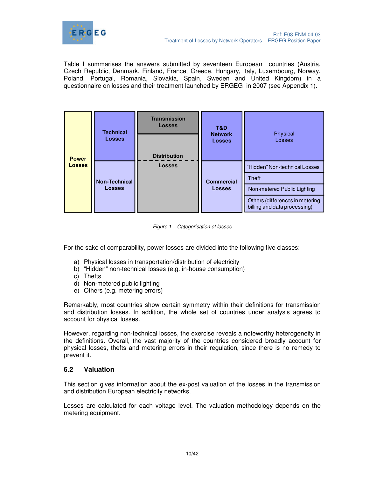

Table I summarises the answers submitted by seventeen European countries (Austria, Czech Republic, Denmark, Finland, France, Greece, Hungary, Italy, Luxembourg, Norway, Poland, Portugal, Romania, Slovakia, Spain, Sweden and United Kingdom) in a questionnaire on losses and their treatment launched by ERGEG in 2007 (see Appendix 1).

| <b>Power</b>  | <b>Technical</b>                      | <b>Transmission</b><br><b>Losses</b> | T&D<br><b>Network</b> | Physical                                                         |              |
|---------------|---------------------------------------|--------------------------------------|-----------------------|------------------------------------------------------------------|--------------|
|               | <b>Losses</b>                         | <b>Distribution</b>                  | <b>Losses</b>         | Losses                                                           |              |
| <b>Losses</b> |                                       | <b>Losses</b>                        |                       | "Hidden" Non-technical Losses                                    |              |
|               | <b>Non-Technical</b><br><b>Losses</b> |                                      |                       | <b>Commercial</b>                                                | <b>Theft</b> |
|               |                                       |                                      | <b>Losses</b>         | Non-metered Public Lighting                                      |              |
|               |                                       |                                      |                       | Others (differences in metering,<br>billing and data processing) |              |

Figure 1 – Categorisation of losses

. For the sake of comparability, power losses are divided into the following five classes:

- a) Physical losses in transportation/distribution of electricity
- b) "Hidden" non-technical losses (e.g. in-house consumption)
- c) Thefts
- d) Non-metered public lighting
- e) Others (e.g. metering errors)

Remarkably, most countries show certain symmetry within their definitions for transmission and distribution losses. In addition, the whole set of countries under analysis agrees to account for physical losses.

However, regarding non-technical losses, the exercise reveals a noteworthy heterogeneity in the definitions. Overall, the vast majority of the countries considered broadly account for physical losses, thefts and metering errors in their regulation, since there is no remedy to prevent it.

## **6.2 Valuation**

This section gives information about the ex-post valuation of the losses in the transmission and distribution European electricity networks.

Losses are calculated for each voltage level. The valuation methodology depends on the metering equipment.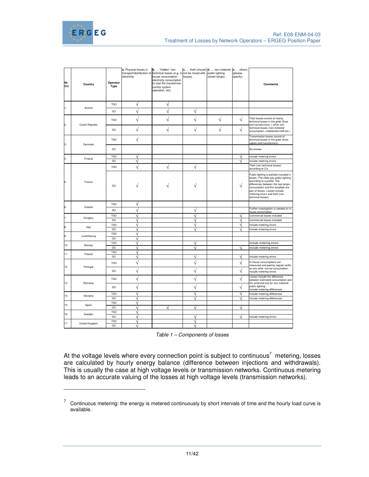



 $\ddot{ }$ 

| Nr.<br>Crt. | Country        | Operator<br><b>Type</b> | a. Physical losses in<br>electricity | b.  "hidden" non-<br>transport/distribution of technical losses (e.g. in not be mixed with public lighting<br>house consumption -<br>electricity consumption<br>to cool the transformer,<br>control system<br>operation, etc) | losses) | c.  theft (should d.  non-metered<br>(street lamps) | e.  others<br>(please<br>specify) | <b>Comments</b>                                                                                                                                                                                                                                                                        |
|-------------|----------------|-------------------------|--------------------------------------|-------------------------------------------------------------------------------------------------------------------------------------------------------------------------------------------------------------------------------|---------|-----------------------------------------------------|-----------------------------------|----------------------------------------------------------------------------------------------------------------------------------------------------------------------------------------------------------------------------------------------------------------------------------------|
| 1.          |                | <b>TSO</b>              | ٧                                    | ٦                                                                                                                                                                                                                             |         |                                                     |                                   |                                                                                                                                                                                                                                                                                        |
|             | Austria        | DO                      | ٦                                    |                                                                                                                                                                                                                               | ٦       |                                                     |                                   |                                                                                                                                                                                                                                                                                        |
| 2.          | Czech Republic | <b>TSO</b>              | ٧                                    |                                                                                                                                                                                                                               | V       | V                                                   | V                                 | Total losses consist of mainly<br>technical losses in the grids (lines<br>and transformers) + other non-                                                                                                                                                                               |
|             |                | DO                      | ٦                                    | V                                                                                                                                                                                                                             | V       | V                                                   | V                                 | technical losses (non-metered<br>consumption, undetected theft etc.)                                                                                                                                                                                                                   |
| 3.          | Denmark        | <b>TSO</b>              | V                                    |                                                                                                                                                                                                                               |         |                                                     |                                   | Transmission losses consist of<br>technical losses in the grids (lines,<br>cables and transformers)                                                                                                                                                                                    |
|             |                | DO                      |                                      |                                                                                                                                                                                                                               |         |                                                     |                                   | No answer                                                                                                                                                                                                                                                                              |
| 4.          | Finland        | <b>TSO</b>              |                                      |                                                                                                                                                                                                                               |         |                                                     |                                   | include metering errors                                                                                                                                                                                                                                                                |
|             |                | DO                      |                                      |                                                                                                                                                                                                                               |         |                                                     |                                   | include metering errors                                                                                                                                                                                                                                                                |
|             |                | <b>TSO</b>              |                                      |                                                                                                                                                                                                                               | V       |                                                     |                                   | Theft (non technical losses)<br>according to 2 b.                                                                                                                                                                                                                                      |
| 5.          | France         | <b>DO</b>               |                                      |                                                                                                                                                                                                                               |         |                                                     | V                                 | Public lighting is partially included in<br>losses. The cities pay public lighting<br>according to a profile. The<br>differences between the real lamps<br>consumption and this template are<br>part of losses. Losses include<br>metering errors and theft (non<br>technical losses). |
| 6.          | Greece         | <b>TSO</b>              | ٦                                    |                                                                                                                                                                                                                               |         |                                                     |                                   |                                                                                                                                                                                                                                                                                        |
|             |                | <b>DO</b>               |                                      |                                                                                                                                                                                                                               | N       |                                                     |                                   | Further investigation is needed on in<br>house consumption                                                                                                                                                                                                                             |
| 7.          | Hungary        | <b>TSO</b>              |                                      |                                                                                                                                                                                                                               | Ń       |                                                     |                                   | Commercial losses included                                                                                                                                                                                                                                                             |
|             |                | DO                      |                                      |                                                                                                                                                                                                                               | ٦       |                                                     | ٦                                 | Commercial losses included                                                                                                                                                                                                                                                             |
| 8.          | Italy          | <b>TSO</b>              |                                      |                                                                                                                                                                                                                               |         |                                                     |                                   | Include metering errors                                                                                                                                                                                                                                                                |
|             |                | <b>DO</b>               | ٦                                    |                                                                                                                                                                                                                               |         |                                                     |                                   | Include metering errors                                                                                                                                                                                                                                                                |
| 9.          | Luxembourg     | <b>TSO</b><br>DO        | V                                    |                                                                                                                                                                                                                               |         |                                                     |                                   |                                                                                                                                                                                                                                                                                        |
|             |                | <b>TSO</b>              | N                                    |                                                                                                                                                                                                                               |         |                                                     |                                   | include metering errors                                                                                                                                                                                                                                                                |
| 10.         | Norway         | DO                      | V                                    |                                                                                                                                                                                                                               | V       |                                                     | V                                 | include metering errors                                                                                                                                                                                                                                                                |
|             |                | <b>TSO</b>              | V                                    |                                                                                                                                                                                                                               |         |                                                     |                                   |                                                                                                                                                                                                                                                                                        |
| 11.         | Poland         | DO                      | ٦                                    |                                                                                                                                                                                                                               |         |                                                     |                                   | Include metering errors                                                                                                                                                                                                                                                                |
| 12.         | Portugal       | <b>TSO</b>              | V                                    |                                                                                                                                                                                                                               | V       |                                                     | V                                 | In-house consumptions are<br>measured and paid by regular tariffs                                                                                                                                                                                                                      |
|             |                | DO                      | V                                    |                                                                                                                                                                                                                               | V       |                                                     | V                                 | as any other normal consumption.<br>Include metering errors                                                                                                                                                                                                                            |
| 13.         | Romania        | <b>TSO</b>              | V                                    |                                                                                                                                                                                                                               | V       |                                                     | V                                 | Losses include the difference<br>between estimated consumption and<br>the achieved one for non metered                                                                                                                                                                                 |
|             |                | DO                      | ٦                                    |                                                                                                                                                                                                                               | V       |                                                     | V                                 | public lighting.<br>Include metering differences                                                                                                                                                                                                                                       |
|             |                | <b>TSO</b>              | V                                    |                                                                                                                                                                                                                               | N       |                                                     | V                                 | Include metering differences                                                                                                                                                                                                                                                           |
| 14.         | Slovakia       | DO                      |                                      |                                                                                                                                                                                                                               |         |                                                     |                                   | Include metering differences                                                                                                                                                                                                                                                           |
| 15.         | Spain          | <b>TSO</b>              | V                                    |                                                                                                                                                                                                                               |         |                                                     |                                   |                                                                                                                                                                                                                                                                                        |
|             |                | DO                      | ٦l                                   |                                                                                                                                                                                                                               | V       |                                                     | V                                 |                                                                                                                                                                                                                                                                                        |
| 16.         | Sweden         | <b>TSO</b>              | V                                    |                                                                                                                                                                                                                               |         |                                                     |                                   |                                                                                                                                                                                                                                                                                        |
|             |                | DO                      |                                      |                                                                                                                                                                                                                               |         |                                                     |                                   | Include metering errors                                                                                                                                                                                                                                                                |
| 17.         | United Kingdom | <b>TSO</b>              | V                                    |                                                                                                                                                                                                                               | N       |                                                     |                                   |                                                                                                                                                                                                                                                                                        |
|             |                | DO                      |                                      |                                                                                                                                                                                                                               |         |                                                     |                                   |                                                                                                                                                                                                                                                                                        |

At the voltage levels where every connection point is subject to continuous<sup>7</sup> metering, losses are calculated by hourly energy balance (difference between injections and withdrawals). This is usually the case at high voltage levels or transmission networks. Continuous metering leads to an accurate valuing of the losses at high voltage levels (transmission networks).

 $7$  Continuous metering: the energy is metered continuously by short intervals of time and the hourly load curve is available.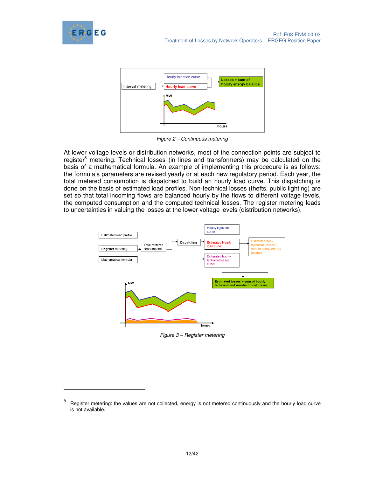

 $\ddot{ }$ 



Figure 2 – Continuous metering

At lower voltage levels or distribution networks, most of the connection points are subject to register<sup>8</sup> metering. Technical losses (in lines and transformers) may be calculated on the basis of a mathematical formula. An example of implementing this procedure is as follows: the formula's parameters are revised yearly or at each new regulatory period. Each year, the total metered consumption is dispatched to build an hourly load curve. This dispatching is done on the basis of estimated load profiles. Non-technical losses (thefts, public lighting) are set so that total incoming flows are balanced hourly by the flows to different voltage levels, the computed consumption and the computed technical losses. The register metering leads to uncertainties in valuing the losses at the lower voltage levels (distribution networks).



Figure 3 – Register metering

<sup>8</sup> Register metering: the values are not collected, energy is not metered continuously and the hourly load curve is not available.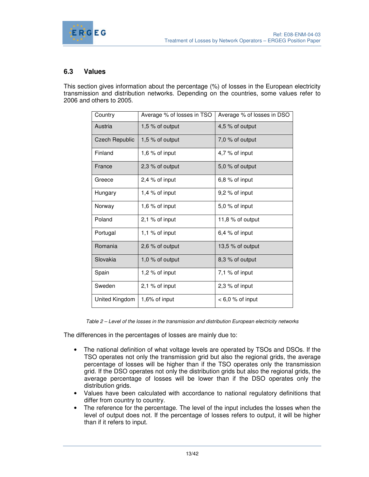

## **6.3 Values**

This section gives information about the percentage (%) of losses in the European electricity transmission and distribution networks. Depending on the countries, some values refer to 2006 and others to 2005.

| Country               | Average % of losses in TSO | Average % of losses in DSO |
|-----------------------|----------------------------|----------------------------|
| Austria               | 1,5 % of output            | 4,5 % of output            |
| <b>Czech Republic</b> | 1,5 $%$ of output          | 7,0 % of output            |
| Finland               | 1,6 $%$ of input           | 4,7 % of input             |
| France                | 2,3 % of output            | $5,0\%$ of output          |
| Greece                | 2,4 % of input             | $6,8%$ of input            |
| Hungary               | 1,4 $%$ of input           | 9,2 % of input             |
| Norway                | 1,6 $%$ of input           | 5,0 % of input             |
| Poland                | $2,1%$ of input            | 11,8 $%$ of output         |
| Portugal              | 1,1 % of input             | 6,4 % of input             |
| Romania               | 2,6 % of output            | 13,5 $%$ of output         |
| Slovakia              | 1,0 % of output            | 8,3 % of output            |
| Spain                 | 1,2 % of input             | 7,1 % of input             |
| Sweden                | $2,1%$ of input            | 2,3 % of input             |
| United Kingdom        | 1,6% of input              | $< 6.0 %$ of input         |

Table 2 – Level of the losses in the transmission and distribution European electricity networks

The differences in the percentages of losses are mainly due to:

- The national definition of what voltage levels are operated by TSOs and DSOs. If the TSO operates not only the transmission grid but also the regional grids, the average percentage of losses will be higher than if the TSO operates only the transmission grid. If the DSO operates not only the distribution grids but also the regional grids, the average percentage of losses will be lower than if the DSO operates only the distribution grids.
- Values have been calculated with accordance to national regulatory definitions that differ from country to country.
- The reference for the percentage. The level of the input includes the losses when the level of output does not. If the percentage of losses refers to output, it will be higher than if it refers to input.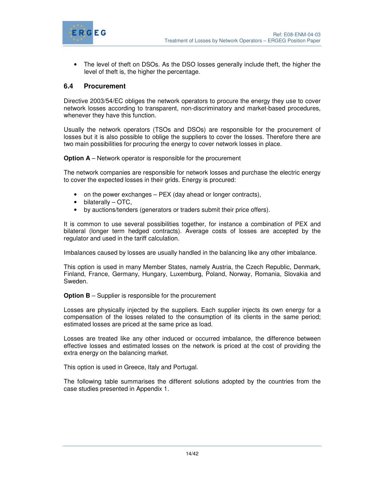

• The level of theft on DSOs. As the DSO losses generally include theft, the higher the level of theft is, the higher the percentage.

## **6.4 Procurement**

Directive 2003/54/EC obliges the network operators to procure the energy they use to cover network losses according to transparent, non-discriminatory and market-based procedures, whenever they have this function.

Usually the network operators (TSOs and DSOs) are responsible for the procurement of losses but it is also possible to oblige the suppliers to cover the losses. Therefore there are two main possibilities for procuring the energy to cover network losses in place.

**Option A** – Network operator is responsible for the procurement

The network companies are responsible for network losses and purchase the electric energy to cover the expected losses in their grids. Energy is procured:

- on the power exchanges PEX (day ahead or longer contracts),
- bilaterally OTC,
- by auctions/tenders (generators or traders submit their price offers).

It is common to use several possibilities together, for instance a combination of PEX and bilateral (longer term hedged contracts). Average costs of losses are accepted by the regulator and used in the tariff calculation.

Imbalances caused by losses are usually handled in the balancing like any other imbalance.

This option is used in many Member States, namely Austria, the Czech Republic, Denmark, Finland, France, Germany, Hungary, Luxemburg, Poland, Norway, Romania, Slovakia and Sweden.

**Option B** – Supplier is responsible for the procurement

Losses are physically injected by the suppliers. Each supplier injects its own energy for a compensation of the losses related to the consumption of its clients in the same period; estimated losses are priced at the same price as load.

Losses are treated like any other induced or occurred imbalance, the difference between effective losses and estimated losses on the network is priced at the cost of providing the extra energy on the balancing market.

This option is used in Greece, Italy and Portugal.

The following table summarises the different solutions adopted by the countries from the case studies presented in Appendix 1.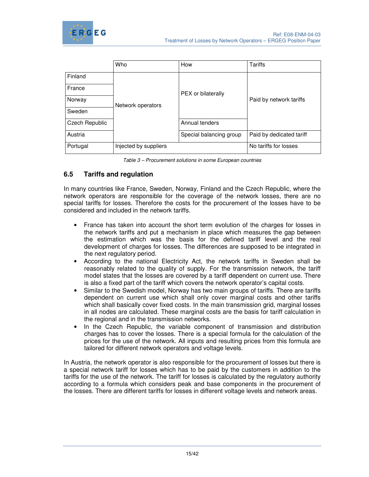

|                       | Who                   | How                     | Tariffs                  |  |
|-----------------------|-----------------------|-------------------------|--------------------------|--|
| Finland               |                       |                         |                          |  |
| France                |                       | PEX or bilaterally      |                          |  |
| Norway                | Network operators     |                         | Paid by network tariffs  |  |
| Sweden                |                       |                         |                          |  |
| <b>Czech Republic</b> |                       | Annual tenders          |                          |  |
| Austria               |                       | Special balancing group | Paid by dedicated tariff |  |
| Portugal              | Injected by suppliers |                         | No tariffs for losses    |  |

Table 3 – Procurement solutions in some European countries

## **6.5 Tariffs and regulation**

In many countries like France, Sweden, Norway, Finland and the Czech Republic, where the network operators are responsible for the coverage of the network losses, there are no special tariffs for losses. Therefore the costs for the procurement of the losses have to be considered and included in the network tariffs.

- France has taken into account the short term evolution of the charges for losses in the network tariffs and put a mechanism in place which measures the gap between the estimation which was the basis for the defined tariff level and the real development of charges for losses. The differences are supposed to be integrated in the next regulatory period.
- According to the national Electricity Act, the network tariffs in Sweden shall be reasonably related to the quality of supply. For the transmission network, the tariff model states that the losses are covered by a tariff dependent on current use. There is also a fixed part of the tariff which covers the network operator's capital costs.
- Similar to the Swedish model, Norway has two main groups of tariffs. There are tariffs dependent on current use which shall only cover marginal costs and other tariffs which shall basically cover fixed costs. In the main transmission grid, marginal losses in all nodes are calculated. These marginal costs are the basis for tariff calculation in the regional and in the transmission networks.
- In the Czech Republic, the variable component of transmission and distribution charges has to cover the losses. There is a special formula for the calculation of the prices for the use of the network. All inputs and resulting prices from this formula are tailored for different network operators and voltage levels.

In Austria, the network operator is also responsible for the procurement of losses but there is a special network tariff for losses which has to be paid by the customers in addition to the tariffs for the use of the network. The tariff for losses is calculated by the regulatory authority according to a formula which considers peak and base components in the procurement of the losses. There are different tariffs for losses in different voltage levels and network areas.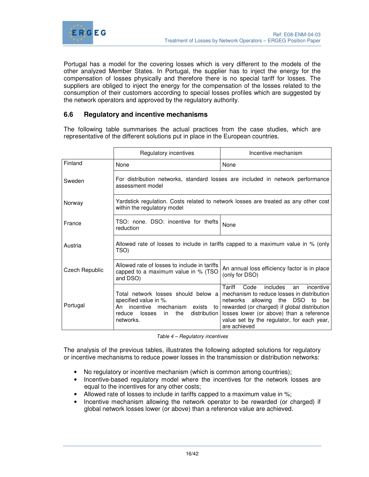

Portugal has a model for the covering losses which is very different to the models of the other analyzed Member States. In Portugal, the supplier has to inject the energy for the compensation of losses physically and therefore there is no special tariff for losses. The suppliers are obliged to inject the energy for the compensation of the losses related to the consumption of their customers according to special losses profiles which are suggested by the network operators and approved by the regulatory authority.

## **6.6 Regulatory and incentive mechanisms**

The following table summarises the actual practices from the case studies, which are representative of the different solutions put in place in the European countries.

|                | Regulatory incentives                                                                                                          | Incentive mechanism                                                                                                                                                                                                                                                                                                              |  |  |  |
|----------------|--------------------------------------------------------------------------------------------------------------------------------|----------------------------------------------------------------------------------------------------------------------------------------------------------------------------------------------------------------------------------------------------------------------------------------------------------------------------------|--|--|--|
| Finland        | None                                                                                                                           | None                                                                                                                                                                                                                                                                                                                             |  |  |  |
| Sweden         | For distribution networks, standard losses are included in network performance<br>assessment model                             |                                                                                                                                                                                                                                                                                                                                  |  |  |  |
| Norway         | within the regulatory model                                                                                                    | Yardstick regulation. Costs related to network losses are treated as any other cost                                                                                                                                                                                                                                              |  |  |  |
| France         | TSO: none. DSO: incentive for thefts<br>reduction                                                                              | None                                                                                                                                                                                                                                                                                                                             |  |  |  |
| Austria        | Allowed rate of losses to include in tariffs capped to a maximum value in % (only<br>TSO)                                      |                                                                                                                                                                                                                                                                                                                                  |  |  |  |
| Czech Republic | Allowed rate of losses to include in tariffs<br>capped to a maximum value in % (TSO<br>and DSO)                                | An annual loss efficiency factor is in place<br>(only for DSO)                                                                                                                                                                                                                                                                   |  |  |  |
| Portugal       | Total network losses should below a<br>specified value in %.<br>incentive<br>An<br>losses<br>the<br>reduce<br>in.<br>networks. | Code<br>Tariff<br>includes<br>incentive<br>an<br>mechanism to reduce losses in distribution<br>networks allowing the DSO to<br>be<br>mechanism exists to   rewarded (or charged) if global distribution<br>distribution   losses lower (or above) than a reference<br>value set by the regulator, for each year,<br>are achieved |  |  |  |

Table 4 – Regulatory incentives

The analysis of the previous tables, illustrates the following adopted solutions for regulatory or incentive mechanisms to reduce power losses in the transmission or distribution networks:

- No regulatory or incentive mechanism (which is common among countries);
- Incentive-based regulatory model where the incentives for the network losses are equal to the incentives for any other costs;
- Allowed rate of losses to include in tariffs capped to a maximum value in %;
- Incentive mechanism allowing the network operator to be rewarded (or charged) if global network losses lower (or above) than a reference value are achieved.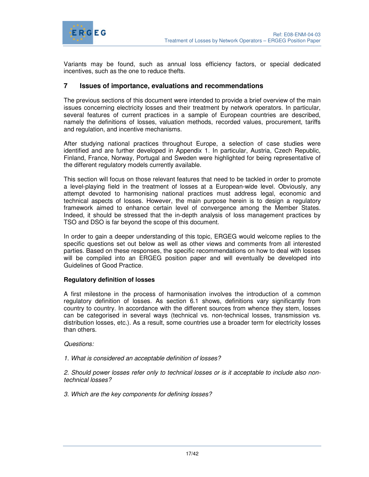

Variants may be found, such as annual loss efficiency factors, or special dedicated incentives, such as the one to reduce thefts.

## **7 Issues of importance, evaluations and recommendations**

The previous sections of this document were intended to provide a brief overview of the main issues concerning electricity losses and their treatment by network operators. In particular, several features of current practices in a sample of European countries are described, namely the definitions of losses, valuation methods, recorded values, procurement, tariffs and regulation, and incentive mechanisms.

After studying national practices throughout Europe, a selection of case studies were identified and are further developed in Appendix 1. In particular, Austria, Czech Republic, Finland, France, Norway, Portugal and Sweden were highlighted for being representative of the different regulatory models currently available.

This section will focus on those relevant features that need to be tackled in order to promote a level-playing field in the treatment of losses at a European-wide level. Obviously, any attempt devoted to harmonising national practices must address legal, economic and technical aspects of losses. However, the main purpose herein is to design a regulatory framework aimed to enhance certain level of convergence among the Member States. Indeed, it should be stressed that the in-depth analysis of loss management practices by TSO and DSO is far beyond the scope of this document.

In order to gain a deeper understanding of this topic, ERGEG would welcome replies to the specific questions set out below as well as other views and comments from all interested parties. Based on these responses, the specific recommendations on how to deal with losses will be compiled into an ERGEG position paper and will eventually be developed into Guidelines of Good Practice.

## **Regulatory definition of losses**

A first milestone in the process of harmonisation involves the introduction of a common regulatory definition of losses. As section 6.1 shows, definitions vary significantly from country to country. In accordance with the different sources from whence they stem, losses can be categorised in several ways (technical vs. non-technical losses, transmission vs. distribution losses, etc.). As a result, some countries use a broader term for electricity losses than others.

Questions:

1. What is considered an acceptable definition of losses?

2. Should power losses refer only to technical losses or is it acceptable to include also nontechnical losses?

3. Which are the key components for defining losses?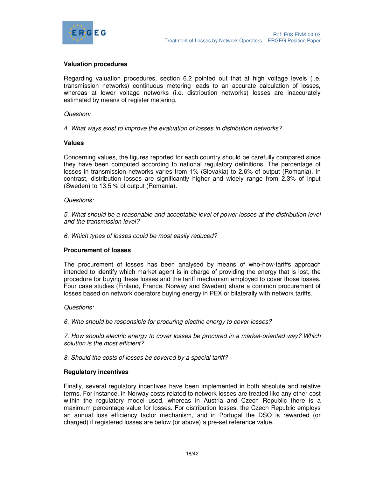

#### **Valuation procedures**

Regarding valuation procedures, section 6.2 pointed out that at high voltage levels (i.e. transmission networks) continuous metering leads to an accurate calculation of losses, whereas at lower voltage networks (i.e. distribution networks) losses are inaccurately estimated by means of register metering.

#### Question:

4. What ways exist to improve the evaluation of losses in distribution networks?

#### **Values**

Concerning values, the figures reported for each country should be carefully compared since they have been computed according to national regulatory definitions. The percentage of losses in transmission networks varies from 1% (Slovakia) to 2.6% of output (Romania). In contrast, distribution losses are significantly higher and widely range from 2.3% of input (Sweden) to 13.5 % of output (Romania).

#### Questions:

5. What should be a reasonable and acceptable level of power losses at the distribution level and the transmission level?

6. Which types of losses could be most easily reduced?

#### **Procurement of losses**

The procurement of losses has been analysed by means of who-how-tariffs approach intended to identify which market agent is in charge of providing the energy that is lost, the procedure for buying these losses and the tariff mechanism employed to cover those losses. Four case studies (Finland, France, Norway and Sweden) share a common procurement of losses based on network operators buying energy in PEX or bilaterally with network tariffs.

#### Questions:

6. Who should be responsible for procuring electric energy to cover losses?

7. How should electric energy to cover losses be procured in a market-oriented way? Which solution is the most efficient?

8. Should the costs of losses be covered by a special tariff?

#### **Regulatory incentives**

Finally, several regulatory incentives have been implemented in both absolute and relative terms. For instance, in Norway costs related to network losses are treated like any other cost within the regulatory model used, whereas in Austria and Czech Republic there is a maximum percentage value for losses. For distribution losses, the Czech Republic employs an annual loss efficiency factor mechanism, and in Portugal the DSO is rewarded (or charged) if registered losses are below (or above) a pre-set reference value.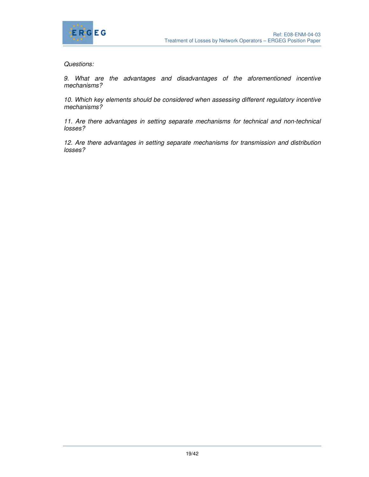

Questions:

9. What are the advantages and disadvantages of the aforementioned incentive mechanisms?

10. Which key elements should be considered when assessing different regulatory incentive mechanisms?

11. Are there advantages in setting separate mechanisms for technical and non-technical losses?

12. Are there advantages in setting separate mechanisms for transmission and distribution losses?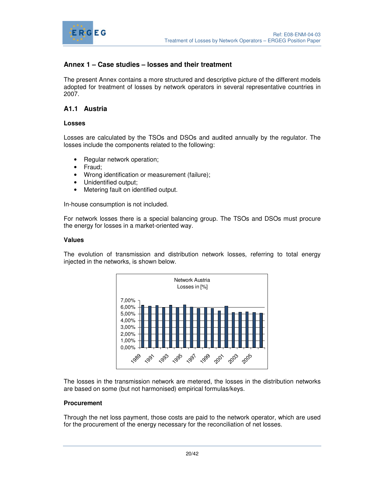

## **Annex 1 – Case studies – losses and their treatment**

The present Annex contains a more structured and descriptive picture of the different models adopted for treatment of losses by network operators in several representative countries in 2007.

## **A1.1 Austria**

#### **Losses**

Losses are calculated by the TSOs and DSOs and audited annually by the regulator. The losses include the components related to the following:

- Regular network operation;
- Fraud;
- Wrong identification or measurement (failure);
- Unidentified output;
- Metering fault on identified output.

In-house consumption is not included.

For network losses there is a special balancing group. The TSOs and DSOs must procure the energy for losses in a market-oriented way.

#### **Values**

The evolution of transmission and distribution network losses, referring to total energy injected in the networks, is shown below.



The losses in the transmission network are metered, the losses in the distribution networks are based on some (but not harmonised) empirical formulas/keys.

#### **Procurement**

Through the net loss payment, those costs are paid to the network operator, which are used for the procurement of the energy necessary for the reconciliation of net losses.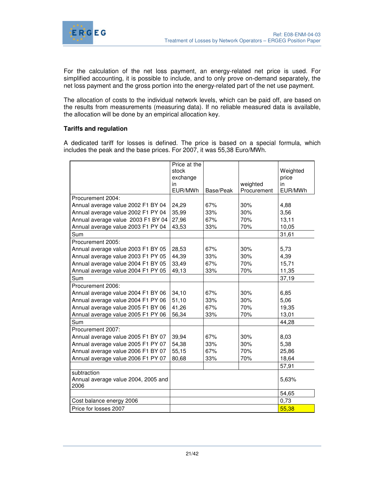

For the calculation of the net loss payment, an energy-related net price is used. For simplified accounting, it is possible to include, and to only prove on-demand separately, the net loss payment and the gross portion into the energy-related part of the net use payment.

The allocation of costs to the individual network levels, which can be paid off, are based on the results from measurements (measuring data). If no reliable measured data is available, the allocation will be done by an empirical allocation key.

## **Tariffs and regulation**

A dedicated tariff for losses is defined. The price is based on a special formula, which includes the peak and the base prices. For 2007, it was 55,38 Euro/MWh.

|                                             | Price at the |           |             |          |
|---------------------------------------------|--------------|-----------|-------------|----------|
|                                             | stock        |           |             | Weighted |
|                                             | exchange     |           |             | price    |
|                                             | in           |           | weighted    | in       |
|                                             | EUR/MWh      | Base/Peak | Procurement | EUR/MWh  |
| Procurement 2004:                           |              |           |             |          |
| Annual average value 2002 F1 BY 04          | 24,29        | 67%       | 30%         | 4,88     |
| Annual average value 2002 F1 PY 04          | 35,99        | 33%       | 30%         | 3,56     |
| Annual average value 2003 F1 BY 04          | 27,96        | 67%       | 70%         | 13,11    |
| Annual average value 2003 F1 PY 04          | 43,53        | 33%       | 70%         | 10,05    |
| Sum                                         |              |           |             | 31,61    |
| Procurement 2005:                           |              |           |             |          |
| Annual average value 2003 F1 BY 05          | 28,53        | 67%       | 30%         | 5,73     |
| Annual average value 2003 F1 PY 05          | 44,39        | 33%       | 30%         | 4,39     |
| Annual average value 2004 F1 BY 05          | 33,49        | 67%       | 70%         | 15,71    |
| Annual average value 2004 F1 PY 05          | 49,13        | 33%       | 70%         | 11,35    |
| Sum                                         |              |           |             | 37,19    |
| Procurement 2006:                           |              |           |             |          |
| Annual average value 2004 F1 BY 06          | 34,10        | 67%       | 30%         | 6,85     |
| Annual average value 2004 F1 PY 06          | 51,10        | 33%       | 30%         | 5,06     |
| Annual average value 2005 F1 BY 06          | 41,26        | 67%       | 70%         | 19,35    |
| Annual average value 2005 F1 PY 06          | 56,34        | 33%       | 70%         | 13,01    |
| Sum                                         |              |           |             | 44,28    |
| Procurement 2007:                           |              |           |             |          |
| Annual average value 2005 F1 BY 07          | 39,94        | 67%       | 30%         | 8,03     |
| Annual average value 2005 F1 PY 07          | 54,38        | 33%       | 30%         | 5,38     |
| Annual average value 2006 F1 BY 07          | 55,15        | 67%       | 70%         | 25,86    |
| Annual average value 2006 F1 PY 07          | 80,68        | 33%       | 70%         | 18,64    |
|                                             |              |           |             | 57,91    |
| subtraction                                 |              |           |             |          |
| Annual average value 2004, 2005 and<br>2006 |              |           |             | 5,63%    |
|                                             |              |           |             | 54,65    |
| Cost balance energy 2006                    |              |           |             | 0,73     |
| Price for losses 2007                       |              |           |             | 55,38    |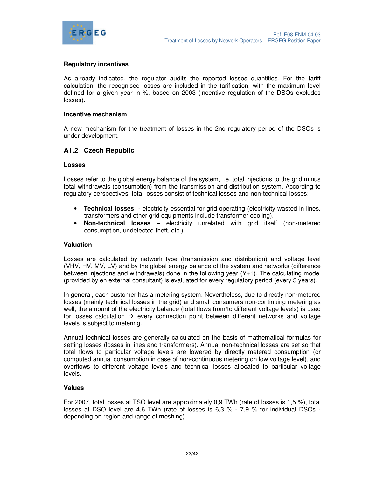

## **Regulatory incentives**

As already indicated, the regulator audits the reported losses quantities. For the tariff calculation, the recognised losses are included in the tarification, with the maximum level defined for a given year in %, based on 2003 (incentive regulation of the DSOs excludes losses).

#### **Incentive mechanism**

A new mechanism for the treatment of losses in the 2nd regulatory period of the DSOs is under development.

## **A1.2 Czech Republic**

#### **Losses**

Losses refer to the global energy balance of the system, i.e. total injections to the grid minus total withdrawals (consumption) from the transmission and distribution system. According to regulatory perspectives, total losses consist of technical losses and non-technical losses:

- **Technical losses** electricity essential for grid operating (electricity wasted in lines, transformers and other grid equipments include transformer cooling),
- **Non-technical losses** electricity unrelated with grid itself (non-metered consumption, undetected theft, etc.)

#### **Valuation**

Losses are calculated by network type (transmission and distribution) and voltage level (VHV, HV, MV, LV) and by the global energy balance of the system and networks (difference between injections and withdrawals) done in the following year (Y+1). The calculating model (provided by en external consultant) is evaluated for every regulatory period (every 5 years).

In general, each customer has a metering system. Nevertheless, due to directly non-metered losses (mainly technical losses in the grid) and small consumers non-continuing metering as well, the amount of the electricity balance (total flows from/to different voltage levels) is used for losses calculation  $\rightarrow$  every connection point between different networks and voltage levels is subject to metering.

Annual technical losses are generally calculated on the basis of mathematical formulas for setting losses (losses in lines and transformers). Annual non-technical losses are set so that total flows to particular voltage levels are lowered by directly metered consumption (or computed annual consumption in case of non-continuous metering on low voltage level), and overflows to different voltage levels and technical losses allocated to particular voltage levels.

#### **Values**

For 2007, total losses at TSO level are approximately 0,9 TWh (rate of losses is 1,5 %), total losses at DSO level are 4,6 TWh (rate of losses is 6,3 % - 7,9 % for individual DSOs depending on region and range of meshing).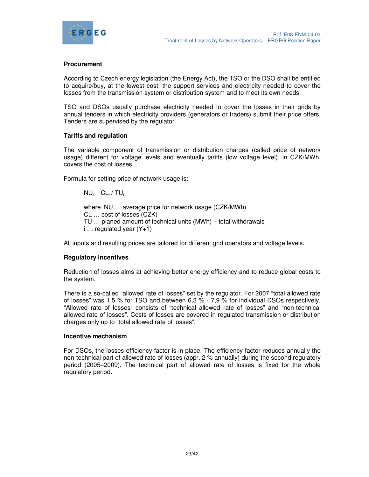

## **Procurement**

According to Czech energy legislation (the Energy Act), the TSO or the DSO shall be entitled to acquire/buy, at the lowest cost, the support services and electricity needed to cover the losses from the transmission system or distribution system and to meet its own needs.

TSO and DSOs usually purchase electricity needed to cover the losses in their grids by annual tenders in which electricity providers (generators or traders) submit their price offers. Tenders are supervised by the regulator.

## **Tariffs and regulation**

The variable component of transmission or distribution charges (called price of network usage) different for voltage levels and eventually tariffs (low voltage level), in CZK/MWh, covers the cost of losses.

Formula for setting price of network usage is:

 $NU_i = CL_i / TU_i$ 

where NU … average price for network usage (CZK/MWh) CL … cost of losses (CZK) TU … planed amount of technical units (MWh) – total withdrawals  $i...$  regulated year  $(Y+1)$ 

All inputs and resulting prices are tailored for different grid operators and voltage levels.

## **Regulatory incentives**

Reduction of losses aims at achieving better energy efficiency and to reduce global costs to the system.

There is a so-called "allowed rate of losses" set by the regulator. For 2007 "total allowed rate of losses" was 1,5 % for TSO and between 6,3 % - 7,9 % for individual DSOs respectively. "Allowed rate of losses" consists of "technical allowed rate of losses" and "non-technical allowed rate of losses". Costs of losses are covered in regulated transmission or distribution charges only up to "total allowed rate of losses".

#### **Incentive mechanism**

For DSOs, the losses efficiency factor is in place. The efficiency factor reduces annually the non-technical part of allowed rate of losses (appr. 2 % annually) during the second regulatory period (2005–2009). The technical part of allowed rate of losses is fixed for the whole regulatory period.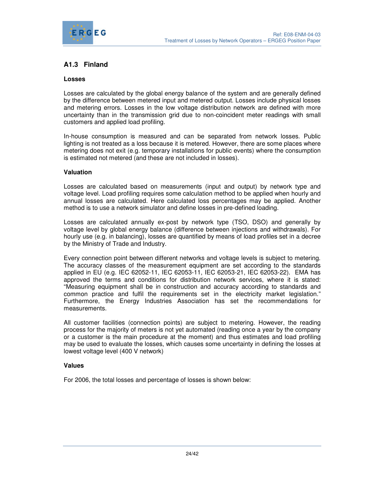

## **A1.3 Finland**

#### **Losses**

Losses are calculated by the global energy balance of the system and are generally defined by the difference between metered input and metered output. Losses include physical losses and metering errors. Losses in the low voltage distribution network are defined with more uncertainty than in the transmission grid due to non-coincident meter readings with small customers and applied load profiling.

In-house consumption is measured and can be separated from network losses. Public lighting is not treated as a loss because it is metered. However, there are some places where metering does not exit (e.g. temporary installations for public events) where the consumption is estimated not metered (and these are not included in losses).

#### **Valuation**

Losses are calculated based on measurements (input and output) by network type and voltage level. Load profiling requires some calculation method to be applied when hourly and annual losses are calculated. Here calculated loss percentages may be applied. Another method is to use a network simulator and define losses in pre-defined loading.

Losses are calculated annually ex-post by network type (TSO, DSO) and generally by voltage level by global energy balance (difference between injections and withdrawals). For hourly use (e.g. in balancing), losses are quantified by means of load profiles set in a decree by the Ministry of Trade and Industry.

Every connection point between different networks and voltage levels is subject to metering. The accuracy classes of the measurement equipment are set according to the standards applied in EU (e.g. IEC 62052-11, IEC 62053-11, IEC 62053-21, IEC 62053-22). EMA has approved the terms and conditions for distribution network services, where it is stated: "Measuring equipment shall be in construction and accuracy according to standards and common practice and fulfil the requirements set in the electricity market legislation." Furthermore, the Energy Industries Association has set the recommendations for measurements.

All customer facilities (connection points) are subject to metering. However, the reading process for the majority of meters is not yet automated (reading once a year by the company or a customer is the main procedure at the moment) and thus estimates and load profiling may be used to evaluate the losses, which causes some uncertainty in defining the losses at lowest voltage level (400 V network)

#### **Values**

For 2006, the total losses and percentage of losses is shown below: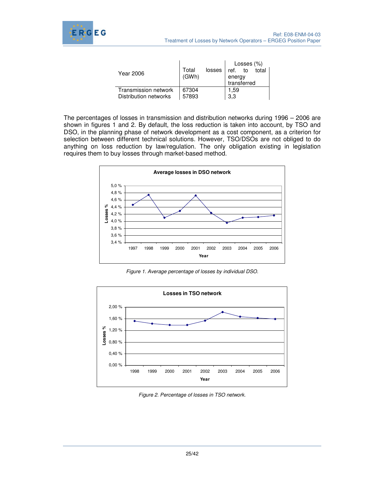

|                       |                |        | Losses $(\%)$ |    |       |
|-----------------------|----------------|--------|---------------|----|-------|
| Year 2006             | Total<br>(GWh) | losses | ref.          | to | total |
|                       |                |        | energy        |    |       |
|                       |                |        | transferred   |    |       |
| Transmission network  | 67304          |        | 1.59          |    |       |
| Distribution networks | 57893          |        | 3.3           |    |       |

The percentages of losses in transmission and distribution networks during 1996 – 2006 are shown in figures 1 and 2. By default, the loss reduction is taken into account, by TSO and DSO, in the planning phase of network development as a cost component, as a criterion for selection between different technical solutions. However, TSO/DSOs are not obliged to do anything on loss reduction by law/regulation. The only obligation existing in legislation requires them to buy losses through market-based method.



Figure 1. Average percentage of losses by individual DSO.



Figure 2. Percentage of losses in TSO network.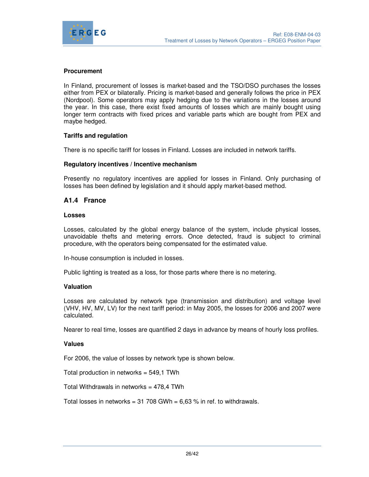

## **Procurement**

In Finland, procurement of losses is market-based and the TSO/DSO purchases the losses either from PEX or bilaterally. Pricing is market-based and generally follows the price in PEX (Nordpool). Some operators may apply hedging due to the variations in the losses around the year. In this case, there exist fixed amounts of losses which are mainly bought using longer term contracts with fixed prices and variable parts which are bought from PEX and maybe hedged.

## **Tariffs and regulation**

There is no specific tariff for losses in Finland. Losses are included in network tariffs.

#### **Regulatory incentives / Incentive mechanism**

Presently no regulatory incentives are applied for losses in Finland. Only purchasing of losses has been defined by legislation and it should apply market-based method.

## **A1.4 France**

#### **Losses**

Losses, calculated by the global energy balance of the system, include physical losses, unavoidable thefts and metering errors. Once detected, fraud is subject to criminal procedure, with the operators being compensated for the estimated value.

In-house consumption is included in losses.

Public lighting is treated as a loss, for those parts where there is no metering.

## **Valuation**

Losses are calculated by network type (transmission and distribution) and voltage level (VHV, HV, MV, LV) for the next tariff period: in May 2005, the losses for 2006 and 2007 were calculated.

Nearer to real time, losses are quantified 2 days in advance by means of hourly loss profiles.

#### **Values**

For 2006, the value of losses by network type is shown below.

Total production in networks = 549,1 TWh

Total Withdrawals in networks =  $478,4$  TWh

Total losses in networks =  $31708$  GWh =  $6,63$  % in ref. to withdrawals.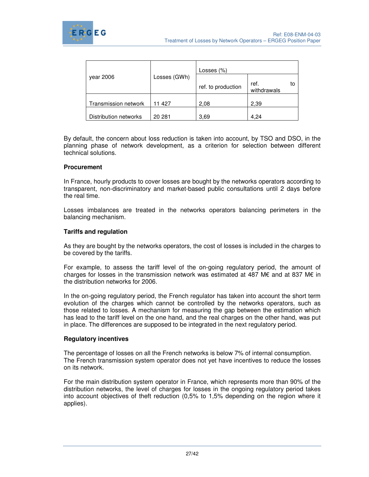

|                       |              | Losses $(\%)$      |                           |
|-----------------------|--------------|--------------------|---------------------------|
| year 2006             | Losses (GWh) | ref. to production | ref.<br>to<br>withdrawals |
| Transmission network  | 11 427       | 2,08               | 2,39                      |
| Distribution networks | 20 281       | 3.69               | 4,24                      |

By default, the concern about loss reduction is taken into account, by TSO and DSO, in the planning phase of network development, as a criterion for selection between different technical solutions.

#### **Procurement**

In France, hourly products to cover losses are bought by the networks operators according to transparent, non-discriminatory and market-based public consultations until 2 days before the real time.

Losses imbalances are treated in the networks operators balancing perimeters in the balancing mechanism.

#### **Tariffs and regulation**

As they are bought by the networks operators, the cost of losses is included in the charges to be covered by the tariffs.

For example, to assess the tariff level of the on-going regulatory period, the amount of charges for losses in the transmission network was estimated at 487 M€ and at 837 M€ in the distribution networks for 2006.

In the on-going regulatory period, the French regulator has taken into account the short term evolution of the charges which cannot be controlled by the networks operators, such as those related to losses. A mechanism for measuring the gap between the estimation which has lead to the tariff level on the one hand, and the real charges on the other hand, was put in place. The differences are supposed to be integrated in the next regulatory period.

#### **Regulatory incentives**

The percentage of losses on all the French networks is below 7% of internal consumption. The French transmission system operator does not yet have incentives to reduce the losses on its network.

For the main distribution system operator in France, which represents more than 90% of the distribution networks, the level of charges for losses in the ongoing regulatory period takes into account objectives of theft reduction (0,5% to 1,5% depending on the region where it applies).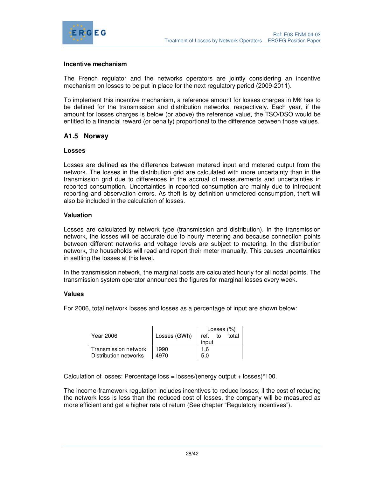

#### **Incentive mechanism**

The French regulator and the networks operators are jointly considering an incentive mechanism on losses to be put in place for the next regulatory period (2009-2011).

To implement this incentive mechanism, a reference amount for losses charges in M€ has to be defined for the transmission and distribution networks, respectively. Each year, if the amount for losses charges is below (or above) the reference value, the TSO/DSO would be entitled to a financial reward (or penalty) proportional to the difference between those values.

## **A1.5 Norway**

#### **Losses**

Losses are defined as the difference between metered input and metered output from the network. The losses in the distribution grid are calculated with more uncertainty than in the transmission grid due to differences in the accrual of measurements and uncertainties in reported consumption. Uncertainties in reported consumption are mainly due to infrequent reporting and observation errors. As theft is by definition unmetered consumption, theft will also be included in the calculation of losses.

#### **Valuation**

Losses are calculated by network type (transmission and distribution). In the transmission network, the losses will be accurate due to hourly metering and because connection points between different networks and voltage levels are subject to metering. In the distribution network, the households will read and report their meter manually. This causes uncertainties in settling the losses at this level.

In the transmission network, the marginal costs are calculated hourly for all nodal points. The transmission system operator announces the figures for marginal losses every week.

#### **Values**

For 2006, total network losses and losses as a percentage of input are shown below:

|                       |              | Losses $(\%)$       |  |
|-----------------------|--------------|---------------------|--|
| Year 2006             | Losses (GWh) | total<br>to<br>ref. |  |
|                       |              | input               |  |
| Transmission network  | 1990         | 1.6                 |  |
| Distribution networks | 4970         | 5.0                 |  |

Calculation of losses: Percentage loss = losses/(energy output + losses)\*100.

The income-framework regulation includes incentives to reduce losses; if the cost of reducing the network loss is less than the reduced cost of losses, the company will be measured as more efficient and get a higher rate of return (See chapter "Regulatory incentives").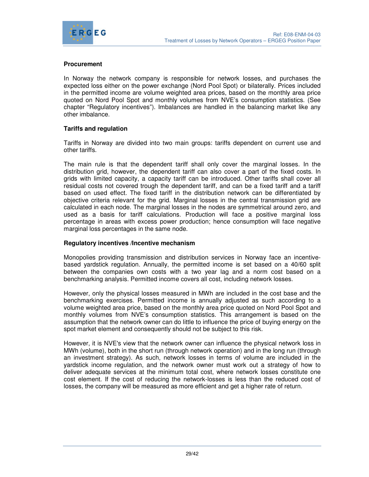

#### **Procurement**

In Norway the network company is responsible for network losses, and purchases the expected loss either on the power exchange (Nord Pool Spot) or bilaterally. Prices included in the permitted income are volume weighted area prices, based on the monthly area price quoted on Nord Pool Spot and monthly volumes from NVE's consumption statistics. (See chapter "Regulatory incentives"). Imbalances are handled in the balancing market like any other imbalance.

#### **Tariffs and regulation**

Tariffs in Norway are divided into two main groups: tariffs dependent on current use and other tariffs.

The main rule is that the dependent tariff shall only cover the marginal losses. In the distribution grid, however, the dependent tariff can also cover a part of the fixed costs. In grids with limited capacity, a capacity tariff can be introduced. Other tariffs shall cover all residual costs not covered trough the dependent tariff, and can be a fixed tariff and a tariff based on used effect. The fixed tariff in the distribution network can be differentiated by objective criteria relevant for the grid. Marginal losses in the central transmission grid are calculated in each node. The marginal losses in the nodes are symmetrical around zero, and used as a basis for tariff calculations. Production will face a positive marginal loss percentage in areas with excess power production; hence consumption will face negative marginal loss percentages in the same node.

#### **Regulatory incentives /Incentive mechanism**

Monopolies providing transmission and distribution services in Norway face an incentivebased yardstick regulation. Annually, the permitted income is set based on a 40/60 split between the companies own costs with a two year lag and a norm cost based on a benchmarking analysis. Permitted income covers all cost, including network losses.

However, only the physical losses measured in MWh are included in the cost base and the benchmarking exercises. Permitted income is annually adjusted as such according to a volume weighted area price, based on the monthly area price quoted on Nord Pool Spot and monthly volumes from NVE's consumption statistics. This arrangement is based on the assumption that the network owner can do little to influence the price of buying energy on the spot market element and consequently should not be subject to this risk.

However, it is NVE's view that the network owner can influence the physical network loss in MWh (volume), both in the short run (through network operation) and in the long run (through an investment strategy). As such, network losses in terms of volume are included in the yardstick income regulation, and the network owner must work out a strategy of how to deliver adequate services at the minimum total cost, where network losses constitute one cost element. If the cost of reducing the network-losses is less than the reduced cost of losses, the company will be measured as more efficient and get a higher rate of return.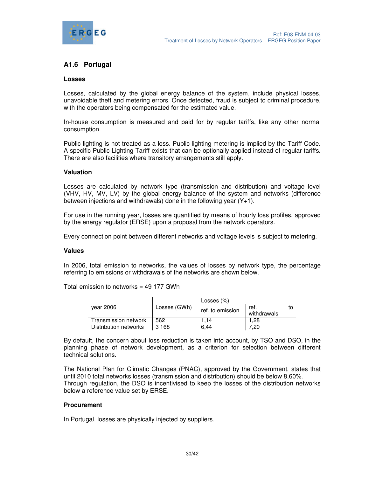

## **A1.6 Portugal**

#### **Losses**

Losses, calculated by the global energy balance of the system, include physical losses, unavoidable theft and metering errors. Once detected, fraud is subject to criminal procedure, with the operators being compensated for the estimated value.

In-house consumption is measured and paid for by regular tariffs, like any other normal consumption.

Public lighting is not treated as a loss. Public lighting metering is implied by the Tariff Code. A specific Public Lighting Tariff exists that can be optionally applied instead of regular tariffs. There are also facilities where transitory arrangements still apply.

#### **Valuation**

Losses are calculated by network type (transmission and distribution) and voltage level (VHV, HV, MV, LV) by the global energy balance of the system and networks (difference between injections and withdrawals) done in the following year (Y+1).

For use in the running year, losses are quantified by means of hourly loss profiles, approved by the energy regulator (ERSE) upon a proposal from the network operators.

Every connection point between different networks and voltage levels is subject to metering.

#### **Values**

In 2006, total emission to networks, the values of losses by network type, the percentage referring to emissions or withdrawals of the networks are shown below.

Total emission to networks = 49 177 GWh

|                       |              | Losses (%)       |                     |  |
|-----------------------|--------------|------------------|---------------------|--|
| vear 2006             | Losses (GWh) | ref. to emission | ref.<br>withdrawals |  |
| Transmission network  | 562          | 1.14             | 28. ا               |  |
| Distribution networks | 3 1 6 8      | 6.44             | 7.20                |  |

By default, the concern about loss reduction is taken into account, by TSO and DSO, in the planning phase of network development, as a criterion for selection between different technical solutions.

The National Plan for Climatic Changes (PNAC), approved by the Government, states that until 2010 total networks losses (transmission and distribution) should be below 8,60%. Through regulation, the DSO is incentivised to keep the losses of the distribution networks below a reference value set by ERSE.

## **Procurement**

In Portugal, losses are physically injected by suppliers.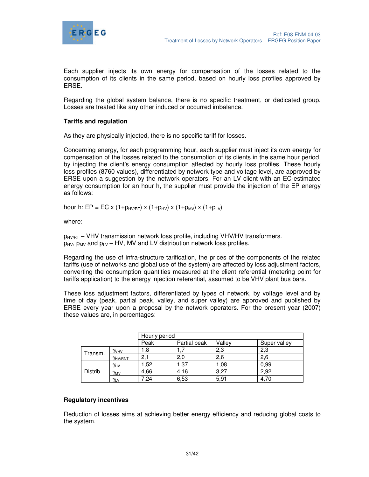

Each supplier injects its own energy for compensation of the losses related to the consumption of its clients in the same period, based on hourly loss profiles approved by ERSE.

Regarding the global system balance, there is no specific treatment, or dedicated group. Losses are treated like any other induced or occurred imbalance.

## **Tariffs and regulation**

As they are physically injected, there is no specific tariff for losses.

Concerning energy, for each programming hour, each supplier must inject its own energy for compensation of the losses related to the consumption of its clients in the same hour period, by injecting the client's energy consumption affected by hourly loss profiles. These hourly loss profiles (8760 values), differentiated by network type and voltage level, are approved by ERSE upon a suggestion by the network operators. For an LV client with an EC-estimated energy consumption for an hour h, the supplier must provide the injection of the EP energy as follows:

hour h: EP = EC x (1+ $p_{HVIRT}$ ) x (1+ $p_{HV}$ ) x (1+ $p_{MV}$ ) x (1+ $p_{LV}$ )

where:

 $p_{HV/RT}$  – VHV transmission network loss profile, including VHV/HV transformers.  $p_{HV}$ ,  $p_{MV}$  and  $p_{UV}$  – HV, MV and LV distribution network loss profiles.

Regarding the use of infra-structure tarification, the prices of the components of the related tariffs (use of networks and global use of the system) are affected by loss adjustment factors, converting the consumption quantities measured at the client referential (metering point for tariffs application) to the energy injection referential, assumed to be VHV plant bus bars.

These loss adjustment factors, differentiated by types of network, by voltage level and by time of day (peak, partial peak, valley, and super valley) are approved and published by ERSE every year upon a proposal by the network operators. For the present year (2007) these values are, in percentages:

|          |               | Hourly period |              |        |              |  |  |  |
|----------|---------------|---------------|--------------|--------|--------------|--|--|--|
|          |               | Peak          | Partial peak | Vallev | Super valley |  |  |  |
| Transm.  | YVHV          | 1.8           |              | 2,3    | 2,3          |  |  |  |
|          | YHV/RNT       | 2,1           | 2,0          | 2,6    | 2,6          |  |  |  |
|          | $\gamma_{HV}$ | 1,52          | 1,37         | 1.08   | 0.99         |  |  |  |
| Distrib. | $\gamma_{MV}$ | 4.66          | 4.16         | 3.27   | 2.92         |  |  |  |
|          | <u> γιν</u>   | 7,24          | 6,53         | 5,91   | 4.70         |  |  |  |

## **Regulatory incentives**

Reduction of losses aims at achieving better energy efficiency and reducing global costs to the system.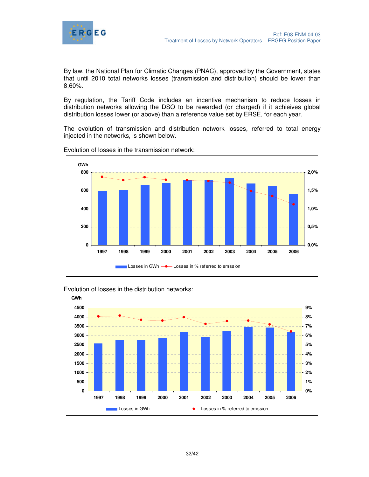

By law, the National Plan for Climatic Changes (PNAC), approved by the Government, states that until 2010 total networks losses (transmission and distribution) should be lower than 8,60%.

By regulation, the Tariff Code includes an incentive mechanism to reduce losses in distribution networks allowing the DSO to be rewarded (or charged) if it achieives global distribution losses lower (or above) than a reference value set by ERSE, for each year.

The evolution of transmission and distribution network losses, referred to total energy injected in the networks, is shown below.



Evolution of losses in the transmission network:

Evolution of losses in the distribution networks:

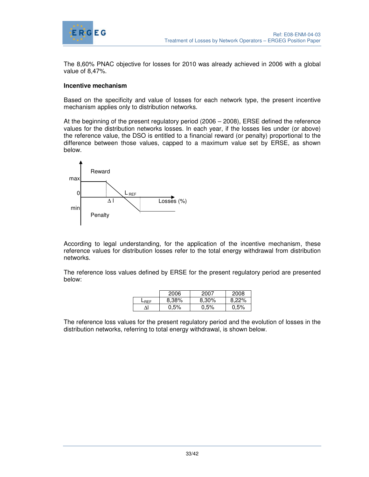

The 8,60% PNAC objective for losses for 2010 was already achieved in 2006 with a global value of 8,47%.

#### **Incentive mechanism**

Based on the specificity and value of losses for each network type, the present incentive mechanism applies only to distribution networks.

At the beginning of the present regulatory period (2006 – 2008), ERSE defined the reference values for the distribution networks losses. In each year, if the losses lies under (or above) the reference value, the DSO is entitled to a financial reward (or penalty) proportional to the difference between those values, capped to a maximum value set by ERSE, as shown below.



According to legal understanding, for the application of the incentive mechanism, these reference values for distribution losses refer to the total energy withdrawal from distribution networks.

The reference loss values defined by ERSE for the present regulatory period are presented below:

|      | 2006    | 2007  | 2008  |
|------|---------|-------|-------|
| -RFF | 8,38%   | 8,30% | 8,22% |
|      | $0.5\%$ | 0,5%  | 0,5%  |

The reference loss values for the present regulatory period and the evolution of losses in the distribution networks, referring to total energy withdrawal, is shown below.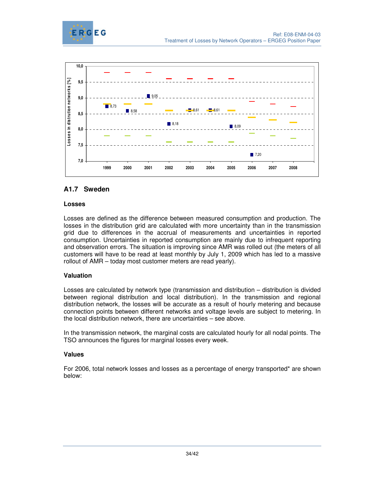



## **A1.7 Sweden**

## **Losses**

Losses are defined as the difference between measured consumption and production. The losses in the distribution grid are calculated with more uncertainty than in the transmission grid due to differences in the accrual of measurements and uncertainties in reported consumption. Uncertainties in reported consumption are mainly due to infrequent reporting and observation errors. The situation is improving since AMR was rolled out (the meters of all customers will have to be read at least monthly by July 1, 2009 which has led to a massive rollout of AMR – today most customer meters are read yearly).

## **Valuation**

Losses are calculated by network type (transmission and distribution – distribution is divided between regional distribution and local distribution). In the transmission and regional distribution network, the losses will be accurate as a result of hourly metering and because connection points between different networks and voltage levels are subject to metering. In the local distribution network, there are uncertainties – see above.

In the transmission network, the marginal costs are calculated hourly for all nodal points. The TSO announces the figures for marginal losses every week.

## **Values**

For 2006, total network losses and losses as a percentage of energy transported\* are shown below: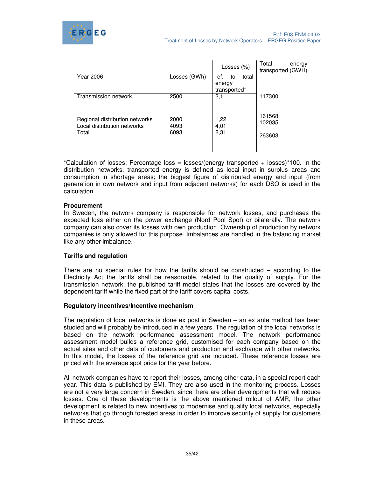

| Year 2006                                                              | Losses (GWh)         | Losses (%)<br>total<br>ref.<br>to<br>energy<br>transported* | Total<br>energy<br>transported (GWH) |
|------------------------------------------------------------------------|----------------------|-------------------------------------------------------------|--------------------------------------|
| Transmission network                                                   | 2500                 | 2,1                                                         | 117300                               |
| Regional distribution networks<br>Local distribution networks<br>Total | 2000<br>4093<br>6093 | 1,22<br>4,01<br>2,31                                        | 161568<br>102035<br>263603           |

\*Calculation of losses: Percentage loss = losses/(energy transported + losses)\*100. In the distribution networks, transported energy is defined as local input in surplus areas and consumption in shortage areas; the biggest figure of distributed energy and input (from generation in own network and input from adjacent networks) for each DSO is used in the calculation.

## **Procurement**

In Sweden, the network company is responsible for network losses, and purchases the expected loss either on the power exchange (Nord Pool Spot) or bilaterally. The network company can also cover its losses with own production. Ownership of production by network companies is only allowed for this purpose. Imbalances are handled in the balancing market like any other imbalance.

## **Tariffs and regulation**

There are no special rules for how the tariffs should be constructed – according to the Electricity Act the tariffs shall be reasonable, related to the quality of supply. For the transmission network, the published tariff model states that the losses are covered by the dependent tariff while the fixed part of the tariff covers capital costs.

#### **Regulatory incentives/Incentive mechanism**

The regulation of local networks is done ex post in Sweden – an ex ante method has been studied and will probably be introduced in a few years. The regulation of the local networks is based on the network performance assessment model. The network performance assessment model builds a reference grid, customised for each company based on the actual sites and other data of customers and production and exchange with other networks. In this model, the losses of the reference grid are included. These reference losses are priced with the average spot price for the year before.

All network companies have to report their losses, among other data, in a special report each year. This data is published by EMI. They are also used in the monitoring process. Losses are not a very large concern in Sweden, since there are other developments that will reduce losses. One of these developments is the above mentioned rollout of AMR, the other development is related to new incentives to modernise and qualify local networks, especially networks that go through forested areas in order to improve security of supply for customers in these areas.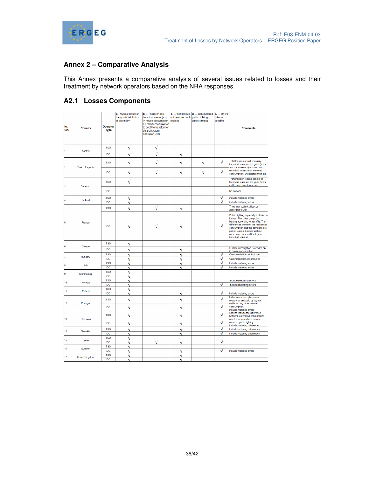

# **Annex 2 – Comparative Analysis**

This Annex presents a comparative analysis of several issues related to losses and their treatment by network operators based on the NRA responses.

## **A2.1 Losses Components**

| Nr.<br>Crt.     | Country               | Operator<br><b>Type</b> | a. Physical losses in<br>transport/distribution<br>of electricity | b.  "hidden" non-<br>technical losses (e.g.<br>in-house consumption - losses)<br>electricity consumption<br>to cool the transformer,<br>control system<br>operation, etc) | not be mixed with public lighting | c.  theft (should d.  non-metered e.  others<br>(street lamps) | (please<br>specify) | <b>Comments</b>                                                                                                                                                                                                                                                                        |
|-----------------|-----------------------|-------------------------|-------------------------------------------------------------------|---------------------------------------------------------------------------------------------------------------------------------------------------------------------------|-----------------------------------|----------------------------------------------------------------|---------------------|----------------------------------------------------------------------------------------------------------------------------------------------------------------------------------------------------------------------------------------------------------------------------------------|
|                 |                       | <b>TSO</b>              | V                                                                 | ٧                                                                                                                                                                         |                                   |                                                                |                     |                                                                                                                                                                                                                                                                                        |
| 1.              | Austria               | DO                      | $\overline{\sqrt{2}}$                                             | $\sqrt{}$                                                                                                                                                                 | ٧                                 |                                                                |                     |                                                                                                                                                                                                                                                                                        |
|                 |                       |                         |                                                                   |                                                                                                                                                                           |                                   |                                                                |                     |                                                                                                                                                                                                                                                                                        |
| 2               | <b>Czech Republic</b> | <b>TSO</b>              |                                                                   | Ń                                                                                                                                                                         |                                   | √                                                              | √                   | Total losses consist of mainly<br>technical losses in the grids (lines<br>and transformers) + other non-                                                                                                                                                                               |
|                 |                       | DO                      | ٧                                                                 | ٧                                                                                                                                                                         | V                                 | $\sqrt{}$                                                      | $\sqrt{}$           | technical losses (non-metered<br>consumption, undetected theft etc.)                                                                                                                                                                                                                   |
| 3.              | Denmark               | <b>TSO</b>              | √                                                                 |                                                                                                                                                                           |                                   |                                                                |                     | Transmission losses consist of<br>technical losses in the grids (lines,<br>cables and transformers)                                                                                                                                                                                    |
|                 |                       | DO                      |                                                                   |                                                                                                                                                                           |                                   |                                                                |                     | No answer                                                                                                                                                                                                                                                                              |
| 4               | Finland               | <b>TSO</b>              |                                                                   |                                                                                                                                                                           |                                   |                                                                |                     | include metering errors                                                                                                                                                                                                                                                                |
|                 |                       | DO                      |                                                                   |                                                                                                                                                                           |                                   |                                                                |                     | include metering errors                                                                                                                                                                                                                                                                |
|                 |                       | <b>TSO</b>              |                                                                   | $\sqrt{}$                                                                                                                                                                 | $\sqrt{}$                         |                                                                |                     | Theft (non technical losses)<br>according to 2 b.                                                                                                                                                                                                                                      |
| 5.              | France                | <b>DO</b>               |                                                                   |                                                                                                                                                                           |                                   |                                                                |                     | Public lighting is partially included in<br>losses. The cities pay public<br>lighting according to a profile. The<br>differences between the real lamps<br>consumption and this template are<br>part of losses. Losses include<br>metering errors and theft (non<br>technical losses). |
|                 |                       | <b>TSO</b>              | ٧                                                                 |                                                                                                                                                                           |                                   |                                                                |                     |                                                                                                                                                                                                                                                                                        |
| 6.              | Greece                | DO                      | ٧                                                                 |                                                                                                                                                                           |                                   |                                                                |                     | Further investigation is needed on<br>in house consumption                                                                                                                                                                                                                             |
|                 |                       | <b>TSO</b>              |                                                                   |                                                                                                                                                                           |                                   |                                                                |                     | Commercial losses included                                                                                                                                                                                                                                                             |
| 7.              | Hungary               | <b>DO</b>               |                                                                   |                                                                                                                                                                           |                                   |                                                                |                     | Commercial losses included                                                                                                                                                                                                                                                             |
| 8.              | Italy                 | <b>TSO</b>              |                                                                   |                                                                                                                                                                           |                                   |                                                                |                     | Include metering errors                                                                                                                                                                                                                                                                |
|                 |                       | DO                      |                                                                   |                                                                                                                                                                           |                                   |                                                                |                     | Include metering errors                                                                                                                                                                                                                                                                |
| 9.              | Luxembourg            | <b>TSO</b><br>DO        | ٦                                                                 |                                                                                                                                                                           |                                   |                                                                |                     |                                                                                                                                                                                                                                                                                        |
|                 |                       | <b>TSO</b>              | ٦<br>Ñ                                                            |                                                                                                                                                                           |                                   |                                                                |                     | include metering errors                                                                                                                                                                                                                                                                |
| 10 <sub>1</sub> | Norway                | DO                      |                                                                   |                                                                                                                                                                           |                                   |                                                                |                     | include metering errors                                                                                                                                                                                                                                                                |
|                 |                       | <b>TSO</b>              |                                                                   |                                                                                                                                                                           |                                   |                                                                |                     |                                                                                                                                                                                                                                                                                        |
| 11              | Poland                | DO                      | Ñ                                                                 |                                                                                                                                                                           | À                                 |                                                                | N                   | Include metering errors                                                                                                                                                                                                                                                                |
| 12.             |                       | <b>TSO</b>              | ٧                                                                 |                                                                                                                                                                           | ٧                                 |                                                                | V                   | In-house consumptions are<br>measured and paid by regular                                                                                                                                                                                                                              |
|                 | Portugal              | DO                      | $\sqrt{}$                                                         |                                                                                                                                                                           | $\sqrt{}$                         |                                                                | $\sqrt{}$           | tariffs as any other normal<br>consumption.<br>Include metering errors                                                                                                                                                                                                                 |
| 13.             | Romania               | <b>TSO</b>              | $\sqrt{}$                                                         |                                                                                                                                                                           | √                                 |                                                                | $\sqrt{}$           | Losses include the difference<br>between estimated consumption<br>and the achieved one for non                                                                                                                                                                                         |
|                 |                       | DO                      | ٧                                                                 |                                                                                                                                                                           | ٧                                 |                                                                | $\sqrt{}$           | metered public lighting.<br>Include metering differences                                                                                                                                                                                                                               |
| 14              | Slovakia              | <b>TSO</b>              | Ñ                                                                 |                                                                                                                                                                           |                                   |                                                                |                     | Include metering differences                                                                                                                                                                                                                                                           |
|                 |                       | DO                      | Ñ                                                                 |                                                                                                                                                                           |                                   |                                                                |                     | Include metering differences                                                                                                                                                                                                                                                           |
| 15.             | Spain                 | <b>TSO</b>              |                                                                   |                                                                                                                                                                           |                                   |                                                                |                     |                                                                                                                                                                                                                                                                                        |
|                 |                       | DO<br><b>TSO</b>        | ٦                                                                 |                                                                                                                                                                           |                                   |                                                                |                     |                                                                                                                                                                                                                                                                                        |
| 16.             | Sweden                | DO                      | Ñ                                                                 |                                                                                                                                                                           |                                   |                                                                |                     | Include metering errors                                                                                                                                                                                                                                                                |
|                 |                       | <b>TSO</b>              | N                                                                 |                                                                                                                                                                           |                                   |                                                                |                     |                                                                                                                                                                                                                                                                                        |
| 17.             | <b>United Kingdom</b> | DO                      |                                                                   |                                                                                                                                                                           |                                   |                                                                |                     |                                                                                                                                                                                                                                                                                        |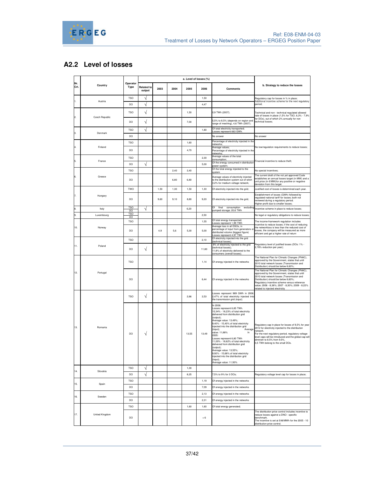

# **A2.2 Level of losses**

|                |                | a. Level of losses (%)  |                             |      |      |       |       |                                                                                                                                                                                                                                                                                                                                                                                                                                                                                                                                                                   |                                                                                                                                                                                                                                                                                                                              |
|----------------|----------------|-------------------------|-----------------------------|------|------|-------|-------|-------------------------------------------------------------------------------------------------------------------------------------------------------------------------------------------------------------------------------------------------------------------------------------------------------------------------------------------------------------------------------------------------------------------------------------------------------------------------------------------------------------------------------------------------------------------|------------------------------------------------------------------------------------------------------------------------------------------------------------------------------------------------------------------------------------------------------------------------------------------------------------------------------|
| Nr.<br>Crt.    | Country        | Operator<br><b>Type</b> | <b>Related to</b><br>output | 2003 | 2004 | 2005  | 2006  | <b>Comments</b>                                                                                                                                                                                                                                                                                                                                                                                                                                                                                                                                                   | b. Strategy to reduce the losses                                                                                                                                                                                                                                                                                             |
|                |                | <b>TSO</b>              |                             |      |      |       | 1,50  |                                                                                                                                                                                                                                                                                                                                                                                                                                                                                                                                                                   | Regulatory cap for losses in % in place;                                                                                                                                                                                                                                                                                     |
|                | Austria        | DO                      |                             |      |      |       | 4,47  |                                                                                                                                                                                                                                                                                                                                                                                                                                                                                                                                                                   | Additional incentive scheme for the next regulatory<br>period;                                                                                                                                                                                                                                                               |
| $\overline{2}$ | Czech Republic | <b>TSO</b>              | V                           |      |      | 1,50  |       | 0,9 TWh (2007);                                                                                                                                                                                                                                                                                                                                                                                                                                                                                                                                                   | Technical and non - technical regulated allowed<br>rate of losses in place (1,5% for TSO, 6,3% - 7,9%                                                                                                                                                                                                                        |
|                |                | DO                      | V                           |      |      | 7.00  |       | 5,5% to 8,5% (depends on region and<br>range of meshing), 4,6 TWh (2007);                                                                                                                                                                                                                                                                                                                                                                                                                                                                                         | for DOs), out of which 2% annually for non<br>technical losses;                                                                                                                                                                                                                                                              |
|                | Denmark        | <b>TSO</b>              |                             |      |      |       | 1,80  | Of total electricity transported;<br>Losses represent 663 GWh.                                                                                                                                                                                                                                                                                                                                                                                                                                                                                                    |                                                                                                                                                                                                                                                                                                                              |
|                |                | DO                      |                             |      |      |       |       | No answer                                                                                                                                                                                                                                                                                                                                                                                                                                                                                                                                                         | No answer                                                                                                                                                                                                                                                                                                                    |
|                |                | <b>TSO</b>              |                             |      |      | 1,60  |       | Percentage of electricity injected in the<br>networks                                                                                                                                                                                                                                                                                                                                                                                                                                                                                                             |                                                                                                                                                                                                                                                                                                                              |
|                | Finland        | DO                      |                             |      |      | 4,70  |       | Average values:<br>Percentage of electricity injected in the<br>networks                                                                                                                                                                                                                                                                                                                                                                                                                                                                                          | No low/regulation requirements to reduce losses;                                                                                                                                                                                                                                                                             |
|                | France         | <b>TSO</b>              |                             |      |      |       | 2,30  | Average values of the total<br>consumption;                                                                                                                                                                                                                                                                                                                                                                                                                                                                                                                       | inancial incentive to reduce theft:                                                                                                                                                                                                                                                                                          |
|                |                | DO                      |                             |      |      |       | 5,00  | Of the energy consumed in distribution<br>power system                                                                                                                                                                                                                                                                                                                                                                                                                                                                                                            |                                                                                                                                                                                                                                                                                                                              |
|                |                | <b>TSO</b>              |                             |      | 2,40 | 2,40  |       | Of the total energy injected to the<br>system                                                                                                                                                                                                                                                                                                                                                                                                                                                                                                                     | No special incentives;                                                                                                                                                                                                                                                                                                       |
|                | Greece         | DO                      |                             |      | 6.80 | 6,80  |       | Average values of electricity injected<br>to the distribution system out of witch<br>3,2% for medium voltage network;                                                                                                                                                                                                                                                                                                                                                                                                                                             | The current draft of the not yet approved Code<br>establishes an annual losses target (in MW) and a<br>unit price (in €/MW)for any positive or negative<br>deviation from this target.                                                                                                                                       |
|                |                | <b>TWO</b>              |                             | 1,50 | 1,30 | 1,50  | 1,30  | Of electricity injected into the grid;                                                                                                                                                                                                                                                                                                                                                                                                                                                                                                                            | Justified cost of losses is determined each year.                                                                                                                                                                                                                                                                            |
|                | Hungary        | DO                      |                             | 9,60 | 9.10 | 8.80  | 9,20  | Of electricity injected into the grid;                                                                                                                                                                                                                                                                                                                                                                                                                                                                                                                            | Establishment of losses (GWh) followed by<br>regulated national tariff for losses; both not<br>reviewed during a regulatory period.<br>Higher profit due to smaller losses;                                                                                                                                                  |
|                | Italy          | <b>TSO</b><br>DO        | V                           |      |      | 6,20  |       | consumption excludin<br>Of final<br>pumped storage; 20.6 TWh                                                                                                                                                                                                                                                                                                                                                                                                                                                                                                      | ncentive scheme in place to reduce losses:                                                                                                                                                                                                                                                                                   |
|                | Luxembourg     | TSO<br>DO               |                             |      |      |       | 2,50  |                                                                                                                                                                                                                                                                                                                                                                                                                                                                                                                                                                   | No legal or regulatory obligations to reduce losses                                                                                                                                                                                                                                                                          |
|                |                | <b>TSO</b>              |                             |      |      |       | 1.55  | Of total energy transported;<br>Losses represent 1,99 TWh                                                                                                                                                                                                                                                                                                                                                                                                                                                                                                         | The income-framework regulation includes<br>incentive to reduce losses; if the cost of reducing                                                                                                                                                                                                                              |
| 10.            | Norway         | DO                      |                             | 4.9  | 5,6  | 5.30  | 5,00  | Average loss in all DSOs, in<br>percentage of input from generators<br>distributed volume (biggest figure)<br>Losses represent 4,97 TWh                                                                                                                                                                                                                                                                                                                                                                                                                           | the networkloss is less than the reduced cost of<br>losses, the company will be measured as more<br>efficient and get a higher rate of return                                                                                                                                                                                |
|                |                | <b>TSO</b>              |                             |      |      |       | 2,10  | Of electricity injected into the grid<br>(technical losses);                                                                                                                                                                                                                                                                                                                                                                                                                                                                                                      |                                                                                                                                                                                                                                                                                                                              |
| 11.            | Poland         | DO                      | V                           |      |      |       | 11,80 | 8% of electricity injected to the grid<br>(technical losses):<br>11,8% of electricity delivered to the<br>consumers (overall losses);                                                                                                                                                                                                                                                                                                                                                                                                                             | Regulatory level of justified losses (DOs: 1% -<br>2,78% reduction per year);                                                                                                                                                                                                                                                |
|                |                | <b>TSO</b>              |                             |      |      |       | 1,14  | Of energy injected in the networks                                                                                                                                                                                                                                                                                                                                                                                                                                                                                                                                | The National Plan for Climatic Changes (PNAC),<br>approved by the Government, states that until<br>2010 total network losses (Transmission and<br>Distribution) should be below 8,60%;                                                                                                                                       |
| 12.            | Portugal       | DO                      |                             |      |      |       | 6.44  | Of energy injected in the networks                                                                                                                                                                                                                                                                                                                                                                                                                                                                                                                                | The National Plan for Climatic Changes (PNAC),<br>approved by the Government, states that until<br>2010 total network losses (Transmission and<br>Distribution) should be below 8,60%;<br>Regulatory incentive scheme versus reference<br>value; 2006 - 8,38%; 2007 - 8,30%; 2009 - 8,22%<br>related to injected electricity |
|                |                | <b>TSO</b>              | V                           |      |      | 2,66  | 2,53  | Losses represent 989 GWh in 2006:<br>2,47% of total electricity injected into<br>the transmission grid (input).                                                                                                                                                                                                                                                                                                                                                                                                                                                   |                                                                                                                                                                                                                                                                                                                              |
| 13.            | Romania        | DO                      | ٦                           |      |      | 13,55 | 13,49 | In 2006:<br>Losses represent 6,85 TWh.<br>10,34% - 18,23% of total electricity<br>delivered from distribution grid<br>(output);<br>Average value: 13,49%;<br>9,40% - 15,40% of total electricity<br>injected into the distribution grid<br>(input);<br>Average<br>value: 11,88%<br>In<br>2005:<br>Losses represent 6,80 TWh<br>11,00% - 18,62% of total electricity<br>delivered from distribution grid<br>(output);<br>Average value: 13,55%;<br>9,92% - 15,68% of total electricity<br>injected into the distribution grid<br>(input);<br>Average value: 11,93% | Regulatory cap in place for losses of 9,5% for year<br>2012 for electricity injected to the distribution<br>network.<br>For the next regulatory period, regulatory voltage<br>level caps will be introduced and the global cap will<br>diminish to 8.5% from 9.5%<br>0,5 TWh belong to the small DOs.                        |
| 14.            |                | <b>TSO</b>              | ٦                           |      |      | 1,00  |       |                                                                                                                                                                                                                                                                                                                                                                                                                                                                                                                                                                   |                                                                                                                                                                                                                                                                                                                              |
|                | Slovakia       | DO                      | V                           |      |      | 8,25  |       | 7,5% to 9% for 3 DOs;                                                                                                                                                                                                                                                                                                                                                                                                                                                                                                                                             | Regulatory voltage level cap for losses in place;                                                                                                                                                                                                                                                                            |
|                |                | <b>TSO</b>              |                             |      |      |       | 1,19  | Of energy injected in the networks                                                                                                                                                                                                                                                                                                                                                                                                                                                                                                                                |                                                                                                                                                                                                                                                                                                                              |
| 15.            | Spain          | DO                      |                             |      |      |       | 7,09  | Of energy injected in the networks                                                                                                                                                                                                                                                                                                                                                                                                                                                                                                                                |                                                                                                                                                                                                                                                                                                                              |
|                |                | <b>TSO</b>              |                             |      |      |       | 2,13  | Of energy injected in the networks                                                                                                                                                                                                                                                                                                                                                                                                                                                                                                                                |                                                                                                                                                                                                                                                                                                                              |
| 16.            | Sweden         | DO                      |                             |      |      |       | 2,31  | Of energy injected in the networks                                                                                                                                                                                                                                                                                                                                                                                                                                                                                                                                |                                                                                                                                                                                                                                                                                                                              |
|                |                | <b>TSO</b>              |                             |      |      | 1,60  | 1,60  | Of total energy generated;                                                                                                                                                                                                                                                                                                                                                                                                                                                                                                                                        |                                                                                                                                                                                                                                                                                                                              |
| 17.            | United Kingdom | DO                      |                             |      |      |       | < 6   |                                                                                                                                                                                                                                                                                                                                                                                                                                                                                                                                                                   | The distribution price control includes incentive to<br>reduce losses against a DNO - specific<br>benchmark.<br>The incentive is set at £48/MWh for the 2005 - 10<br>distribution price control.                                                                                                                             |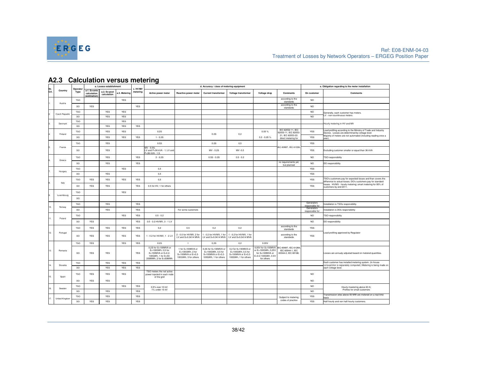

| Nr.  | Operator       |                   | a. Losses establishment                     |                             | c. HV/MV                 | d. Accuracy / class of metering equipment |                                                                                                                 |                                                                                    |                                                                                         |                                                                                        | e. Obligation regarding to the meter installation                                                        |                                                                  |                               |                                                                                                                             |
|------|----------------|-------------------|---------------------------------------------|-----------------------------|--------------------------|-------------------------------------------|-----------------------------------------------------------------------------------------------------------------|------------------------------------------------------------------------------------|-----------------------------------------------------------------------------------------|----------------------------------------------------------------------------------------|----------------------------------------------------------------------------------------------------------|------------------------------------------------------------------|-------------------------------|-----------------------------------------------------------------------------------------------------------------------------|
| Crt. | Country        | Type              | a.1. Ex-ante<br>calculation<br>(estimation) | a.2. Ex-post<br>calculation | a.3. Metering            | metering                                  | Active power meter                                                                                              | Reactive power meter                                                               | <b>Current transformer</b>                                                              | Voltage transformer                                                                    | Voltage drop                                                                                             | <b>Comments</b>                                                  | On customer                   | <b>Comments</b>                                                                                                             |
|      | Austria        | <b>TSO</b>        |                                             |                             | YES                      |                                           |                                                                                                                 |                                                                                    |                                                                                         |                                                                                        |                                                                                                          | according to the<br>standards                                    | NO.                           |                                                                                                                             |
|      |                | DO.               | <b>YES</b>                                  |                             |                          | <b>YES</b>                                |                                                                                                                 |                                                                                    |                                                                                         |                                                                                        |                                                                                                          | according to the<br>standards                                    | NO.                           |                                                                                                                             |
|      | Czech Republic | TSO               |                                             | YES                         | YES                      |                                           |                                                                                                                 |                                                                                    |                                                                                         |                                                                                        |                                                                                                          |                                                                  | <b>NO</b>                     | Generally, each customer has meters.                                                                                        |
|      |                | DO                |                                             | <b>YES</b>                  | <b>YES</b>               |                                           |                                                                                                                 |                                                                                    |                                                                                         |                                                                                        |                                                                                                          |                                                                  | NO.                           | V - non-countinuous meters                                                                                                  |
|      | Denmark        | <b>TSO</b><br>DO. |                                             | <b>YES</b>                  | <b>YES</b><br><b>YES</b> | <b>YES</b>                                |                                                                                                                 |                                                                                    |                                                                                         |                                                                                        |                                                                                                          |                                                                  |                               | Hourly metering in HV and MV                                                                                                |
|      |                | <b>TSO</b>        |                                             | <b>YES</b>                  | <b>YES</b>               |                                           | 0.2S                                                                                                            |                                                                                    |                                                                                         |                                                                                        | 0.05%                                                                                                    | IEC 62052-11, IEC<br>62053-11, IEC 62053                         | YES                           | Load profiling according to the Ministry of Trade and Industry<br>Decree. Losses are determined by voltage level.           |
|      | Finland        | DO                |                                             | <b>YES</b>                  | <b>YES</b>               | YES                                       | $1 - 0.2S$                                                                                                      |                                                                                    | 0.2S                                                                                    | 0.2                                                                                    | $0.2 - 0.05 %$                                                                                           | 21, IEC 62053-22.<br>direct metering for                         | YES                           | Majority of meters are not automated (including reading once a<br>year).                                                    |
|      |                | <b>TSO</b>        |                                             | <b>YES</b>                  |                          |                                           | 0.5S                                                                                                            |                                                                                    | 0.2S                                                                                    | 0,5                                                                                    |                                                                                                          |                                                                  | YES                           |                                                                                                                             |
|      | Erance         | DO                |                                             | <b>YES</b>                  |                          |                                           | MV - 0.5S:<br>LV and P>36 kVA - 1; LV and<br>P<36 kVA - 1.5.                                                    |                                                                                    | MV - 0.2S                                                                               | MV-0.5                                                                                 |                                                                                                          | IEC 60687, IEC 61036.                                            | YES                           | Excluding customer smaller or equal than 36 kVA                                                                             |
|      | Greece         | TSO               |                                             | YES                         |                          | YES                                       | $2 - 0.2S$                                                                                                      |                                                                                    | $0.5S - 0.2S$                                                                           | $0.5 - 0.2$                                                                            |                                                                                                          |                                                                  | NO.                           | TSO responsibility                                                                                                          |
|      |                | DO.               |                                             | <b>YES</b>                  |                          | <b>YES</b>                                |                                                                                                                 |                                                                                    |                                                                                         |                                                                                        |                                                                                                          | no requirements yet,<br>but planned                              | NO.                           | DO responsibility                                                                                                           |
|      | Hungary        | <b>TSO</b>        |                                             |                             | <b>YES</b>               |                                           | 0,5                                                                                                             |                                                                                    |                                                                                         |                                                                                        |                                                                                                          |                                                                  | YES                           |                                                                                                                             |
|      |                | DO                |                                             | YES                         |                          |                                           | 0,5                                                                                                             |                                                                                    |                                                                                         |                                                                                        |                                                                                                          |                                                                  | YES                           |                                                                                                                             |
|      | Italy          | <b>TSO</b>        | YES                                         | YES                         | YES                      | YES                                       | 0,5                                                                                                             |                                                                                    |                                                                                         |                                                                                        |                                                                                                          |                                                                  | YES                           | TSO's customers pay for expected losses and than covers the<br>difference to actual losses. DO's customers pay for standard |
|      |                | DO                | <b>YES</b>                                  | <b>YES</b>                  |                          | <b>YES</b>                                | 0.5 for HV, 1 for others                                                                                        |                                                                                    |                                                                                         |                                                                                        |                                                                                                          |                                                                  | <b>YES</b>                    | losses. HV/MV - hourly metering; smart metering for 95% of<br>customers by end 2011.                                        |
|      | Luxembourg     | TSO               |                                             |                             | <b>YES</b>               |                                           |                                                                                                                 |                                                                                    |                                                                                         |                                                                                        |                                                                                                          |                                                                  |                               |                                                                                                                             |
|      |                | DO                |                                             |                             |                          |                                           |                                                                                                                 |                                                                                    |                                                                                         |                                                                                        |                                                                                                          |                                                                  |                               |                                                                                                                             |
| 10.  |                | <b>TSO</b>        |                                             | YES                         |                          | YES                                       |                                                                                                                 |                                                                                    |                                                                                         |                                                                                        |                                                                                                          |                                                                  | Generators<br>responsible for | nstallation is TSOs responsibility                                                                                          |
|      | Norway         | DO                |                                             | YES                         |                          | YES                                       |                                                                                                                 | For some customers                                                                 |                                                                                         |                                                                                        |                                                                                                          |                                                                  | Generators<br>responsible for | Installation is DOs responsibility                                                                                          |
| 11.  | Poland         | <b>TSO</b>        |                                             |                             | YES                      | YES                                       | $0.5 - 0.2$                                                                                                     |                                                                                    |                                                                                         |                                                                                        |                                                                                                          |                                                                  | <b>NO</b>                     | TSO responsibility                                                                                                          |
|      |                | DO                | YES                                         |                             |                          | <b>YES</b>                                | 0.5 - 0.2 HV/MV, 3 - 1 LV                                                                                       |                                                                                    |                                                                                         |                                                                                        |                                                                                                          |                                                                  | <b>NO</b>                     | DO responsibility                                                                                                           |
|      |                | <b>TSO</b>        | YES                                         | <b>YES</b>                  | YES                      | YES                                       | 0,2                                                                                                             | 0.5                                                                                | 0.2                                                                                     | 0.2                                                                                    |                                                                                                          | according to the<br>standards                                    | <b>YES</b>                    |                                                                                                                             |
| 12.  | Portugal       | DO                | YES                                         | <b>YES</b>                  | <b>YES</b>               | YES                                       | 1 - 0.2 for HV/MV, 1 - 2 LV                                                                                     | 2 - 0.5 for HV/MV. 2 for<br>LV and S>0.0414 MVA LV and S>0.0414 MVA                | 1 - 0.2 for HV/MV. 1 for                                                                | 1 - 0.2 for HV/MV. 1 for<br>LV and S>0.0414 MVA                                        |                                                                                                          | according to the<br>standards                                    | YES                           | Load profiling approved by Regulator                                                                                        |
|      |                | <b>TSO</b>        | <b>YES</b>                                  |                             | <b>YES</b>               | <b>YES</b>                                | 0.2S                                                                                                            | $\overline{1}$                                                                     | 0.2S                                                                                    | 0,2                                                                                    | 0.05V                                                                                                    |                                                                  |                               |                                                                                                                             |
| 13.  | Romania        | <b>DO</b>         | <b>YES</b>                                  | <b>YES</b>                  |                          | <b>YES</b>                                | 0,2S for S>100MVA or<br>E>100GWh, 0,5 for<br>S<100MVA or E=0.2-<br>100GWh. 1 for E=50-<br>200MWh, 2 for E<50MWh | 1 for S>100MVA or<br>E>100GWh, 2 for<br>S<100MVA or E=0.2-<br>100GWh, 3 for others | 0,2S for S>100MVA or<br>E>100GWh, 0,5 for<br>S<100MVA or E=0.2-<br>100GWh, 1 for others | 0,2 for S>100MVA or<br>E>100GWh, 0,5 for<br>S<100MVA or E=0.2-<br>100GWh, 1 for others | 0,05V for S>100MVA<br>or E>100GWh, 0,25V<br>for S<100MVA or<br>$E = 0.2 - 100$ GWh, $0.5V$<br>for others | IEC 60687, IEC 61268,<br>IEC 60044-1, IEC<br>60044-2, IEC 60186. |                               | Losses are annualy adjusted based on metered quantities.                                                                    |
| 14.  | Slovakia       | <b>TSO</b>        |                                             | <b>YES</b>                  | <b>YES</b>               | YES                                       |                                                                                                                 |                                                                                    |                                                                                         |                                                                                        |                                                                                                          |                                                                  |                               | Each customer has installed metering system. (In-house<br>consupmtion is separately computed.) Metering is being made on    |
|      |                | DO                |                                             | <b>YES</b>                  | YES                      | YES                                       |                                                                                                                 |                                                                                    |                                                                                         |                                                                                        |                                                                                                          |                                                                  |                               | each voltage level.                                                                                                         |
| 15.  | Spain          | <b>TSO</b>        | <b>YES</b>                                  | <b>YES</b>                  | <b>YES</b>               |                                           | TSO meters the net active<br>power injected in each node<br>of the grid                                         |                                                                                    |                                                                                         |                                                                                        |                                                                                                          |                                                                  | NO.                           |                                                                                                                             |
|      |                | <b>DO</b>         | <b>YES</b>                                  | <b>YES</b>                  |                          |                                           |                                                                                                                 |                                                                                    |                                                                                         |                                                                                        |                                                                                                          |                                                                  | NO.                           |                                                                                                                             |
| 16.  | Sweden         | <b>TSO</b>        |                                             |                             | YES                      | YES                                       | 0,5% over 10 kV;<br>1% under 10 kV                                                                              |                                                                                    |                                                                                         |                                                                                        |                                                                                                          |                                                                  | <b>NO</b>                     | Hourly meetering above 63 A;<br>Profiles for small customers                                                                |
|      |                | DO.               |                                             | <b>YES</b>                  |                          | <b>YES</b>                                |                                                                                                                 |                                                                                    |                                                                                         |                                                                                        |                                                                                                          |                                                                  | NO.                           | Fransmission sites above 50 MW are metered on a real time                                                                   |
| 17.  | United Kingdom | <b>TSO</b>        |                                             | <b>YES</b>                  |                          | YES                                       |                                                                                                                 |                                                                                    |                                                                                         |                                                                                        |                                                                                                          | Subject to metering<br>codes of practice                         | YES                           | nacio                                                                                                                       |
|      |                | <b>DO</b>         | <b>YES</b>                                  | <b>YES</b>                  |                          | <b>YES</b>                                |                                                                                                                 |                                                                                    |                                                                                         |                                                                                        |                                                                                                          |                                                                  | <b>YES</b>                    | Half-hourly and non half-hourly customers.                                                                                  |

# **A2.3 Calculation versus metering**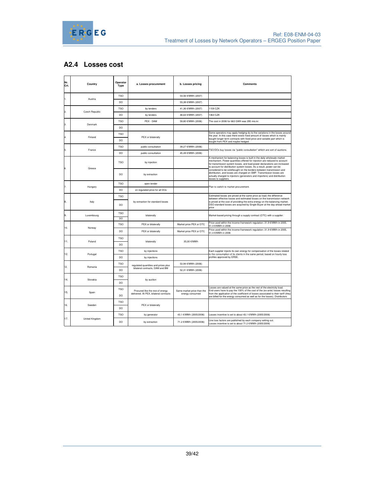

# **A2.4 Losses cost**

| Nr.<br>Crt.  | Country        | Operator<br><b>Type</b> | a. Losses procurement                                                      | b. Losses pricing          | <b>Comments</b>                                                                                                                                                                                                                                                                                          |  |  |
|--------------|----------------|-------------------------|----------------------------------------------------------------------------|----------------------------|----------------------------------------------------------------------------------------------------------------------------------------------------------------------------------------------------------------------------------------------------------------------------------------------------------|--|--|
|              |                | <b>TSO</b>              |                                                                            | 54,56 €/MWh (2007)         |                                                                                                                                                                                                                                                                                                          |  |  |
| 1.           | Austria        | <b>DO</b>               |                                                                            | 55,38 €/MWh (2007)         |                                                                                                                                                                                                                                                                                                          |  |  |
| $\mathbf{2}$ |                | <b>TSO</b>              | by tenders                                                                 | 41,36 €/MWh (2007)         | 1159 CZK                                                                                                                                                                                                                                                                                                 |  |  |
|              | Czech Republic | DO                      | by tenders                                                                 | 48,64 €/MWh (2007)         | 1363 CZK                                                                                                                                                                                                                                                                                                 |  |  |
| 3.           | Denmark        | <b>TSO</b>              | PEX - DAM                                                                  | 59,80 €/MWh (2006)         | The cost in 2006 for 663 GWh was 295 mio.kr.                                                                                                                                                                                                                                                             |  |  |
|              |                | DO                      |                                                                            |                            |                                                                                                                                                                                                                                                                                                          |  |  |
|              | Finland        | <b>TSO</b>              |                                                                            |                            | Some operators may apply hedging du to the variations in the losses around<br>the year. In this case there exists fixed amount of losses which is mainly                                                                                                                                                 |  |  |
| 4.           |                | <b>DO</b>               | PEX or bilaterally                                                         |                            | bought longer term contracts with fixed price and variable part which is<br>bought from PEX and maybe hedged.                                                                                                                                                                                            |  |  |
| 5.           | France         | <b>TSO</b>              | public consultation                                                        | 39,27 €/MWh (2006)         |                                                                                                                                                                                                                                                                                                          |  |  |
|              |                | DO                      | public consultation                                                        | 45,49 €/MWh (2006)         | TSO/DOs buy losses via "public consultation" whitch are sort of auctions.                                                                                                                                                                                                                                |  |  |
| 6.           | Greece         | <b>TSO</b>              | by injection                                                               |                            | A mechanism for balancing losses is built in the daily wholesale market<br>mechanism. Power quantities offered for injection are reduced to account<br>for transmission system losses, and load power declarations are increased<br>to account for distribution system losses. As a result, power can be |  |  |
|              |                | DO.                     | by extraction                                                              |                            | considered to be sold/bought on the borders between transmission and<br>distribution, and losses are charged on SMP. Transmission losses are<br>actually charged to injectors (generators and importers) and distribution<br>losses to suppliers.                                                        |  |  |
| 7.           | Hungary        | <b>TSO</b>              | open tender                                                                |                            | Plan to switch to market procurement.                                                                                                                                                                                                                                                                    |  |  |
|              |                | DO                      | on regulated price for all DOs                                             |                            |                                                                                                                                                                                                                                                                                                          |  |  |
|              |                | <b>TSO</b>              |                                                                            |                            | Estimated losses are priced at the same price as load; the difference<br>between effective losses and estimated losses on the transmission network                                                                                                                                                       |  |  |
| 8.           | Italy          | DO                      | by extraction for standard losses                                          |                            | is priced at the cost of providing the extra energy on the balancing market.<br>DSO standard losses are acquired by Single Buyer at the day-ahead market<br>price                                                                                                                                        |  |  |
| 9.           | Luxembourg     | <b>TSO</b>              | bilaterally                                                                |                            | Market-based pricing through a supply contract (OTC) with a supplier.                                                                                                                                                                                                                                    |  |  |
|              |                | DO<br><b>TSO</b>        |                                                                            |                            | Price used within the income-framework regulation: 31,9 €/MWh in 2005,                                                                                                                                                                                                                                   |  |  |
| 10.          | Norway         |                         | PEX or bilaterally                                                         | Market price PEX or OTC    | 51,4 €/MWh in 2006<br>Price used within the income-framework regulation: 31,9 €/MWh in 2005,                                                                                                                                                                                                             |  |  |
|              |                | DO                      | PEX or bilaterally                                                         | Market price PEX or OTC    | 51,4 €/MWh in 2006                                                                                                                                                                                                                                                                                       |  |  |
| 11.          | Poland         | <b>TSO</b>              | bilaterally                                                                | 35,00 €/MWh                |                                                                                                                                                                                                                                                                                                          |  |  |
|              |                | DO                      |                                                                            |                            |                                                                                                                                                                                                                                                                                                          |  |  |
| 12.          | Portugal       | <b>TSO</b>              | by injections                                                              |                            | Each supplier injects its own energy for compensation of the losses related<br>to the consumption of its clients in the same period, based on hourly loss                                                                                                                                                |  |  |
|              |                | DO                      | by injections                                                              |                            | profiles approved by ERSE.                                                                                                                                                                                                                                                                               |  |  |
| ۱3.          | Romania        | <b>TSO</b>              | regulated quantities and prices plus<br>bilateral contracts, DAM and BM    | 53,94 €/MWh (2006)         |                                                                                                                                                                                                                                                                                                          |  |  |
|              |                | DO                      |                                                                            | 52,31 €/MWh (2006)         |                                                                                                                                                                                                                                                                                                          |  |  |
| 14           | Slovakia       | <b>TSO</b>              | by auction                                                                 |                            |                                                                                                                                                                                                                                                                                                          |  |  |
|              |                | DO                      |                                                                            |                            |                                                                                                                                                                                                                                                                                                          |  |  |
| 15.          | Spain          | <b>TSO</b>              | Procured like the rest of energy<br>delivered. At PEX, bilateral contracts | Same market price than the | Losses are valued at the same price as the rest of the electricity load.<br>End-users have to pay the 100% of the cost of the (ex-ante) losses resulting<br>from the application of the coefficient of losses associated to their tariff (they                                                           |  |  |
|              |                | DO                      |                                                                            | energy consumed            | are billed for the energy consumed as well as for the losses). Distributors                                                                                                                                                                                                                              |  |  |
| 16.          | Sweden         | <b>TSO</b>              | PEX or bilaterally                                                         |                            |                                                                                                                                                                                                                                                                                                          |  |  |
|              |                | DO                      |                                                                            |                            |                                                                                                                                                                                                                                                                                                          |  |  |
| 17.          |                | <b>TSO</b>              | by generator                                                               | 43,1 €/MWh (2005/2006)     | Losses incentive is set to about 43,1 €/MWh (2005/2006)                                                                                                                                                                                                                                                  |  |  |
|              | United Kingdom | DO                      | by extraction                                                              | 71.2 €/MWh (2005/2006)     | Line loss factors are published by each company setting out.<br>Losses incentive is set to about 71.2 €/MWh (2005/2006)                                                                                                                                                                                  |  |  |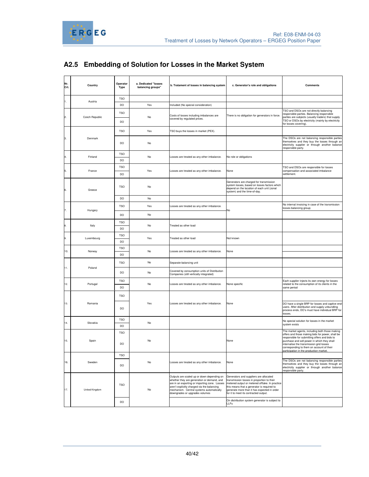

# **A2.5 Embedding of Solution for Losses in the Market System**

| Nr.<br>Crt.    | Country        | Operator<br>Type        | a. Dedicated "losses<br>balancing groups" | b. Tratament of losses in balancing system                                                                                                                                                                                                                             | c. Generator's role and obligations                                                                                                                                                                                                                                          | <b>Comments</b>                                                                                                                                                                                                                                                                      |
|----------------|----------------|-------------------------|-------------------------------------------|------------------------------------------------------------------------------------------------------------------------------------------------------------------------------------------------------------------------------------------------------------------------|------------------------------------------------------------------------------------------------------------------------------------------------------------------------------------------------------------------------------------------------------------------------------|--------------------------------------------------------------------------------------------------------------------------------------------------------------------------------------------------------------------------------------------------------------------------------------|
|                |                | <b>TSO</b>              |                                           |                                                                                                                                                                                                                                                                        |                                                                                                                                                                                                                                                                              |                                                                                                                                                                                                                                                                                      |
|                | Austria        | DO                      | Yes                                       | Included (No special consideration)                                                                                                                                                                                                                                    |                                                                                                                                                                                                                                                                              |                                                                                                                                                                                                                                                                                      |
| 2              | Czech Republic | <b>TSO</b><br>DO        | No                                        | Costs of losses including imbalances are<br>covered by regulated prices.                                                                                                                                                                                               | There is no obligation for generators in force.                                                                                                                                                                                                                              | TSO and DSOs are not directly balancing<br>responsible parties. Balancing responsible<br>parties are subjects (usually traders) that supply<br>TSO or DSOs by electricity (mainly by electricity<br>for losses covering).                                                            |
|                |                | <b>TSO</b>              | Yes                                       | TSO buys the losses in market (PEX).                                                                                                                                                                                                                                   |                                                                                                                                                                                                                                                                              |                                                                                                                                                                                                                                                                                      |
| 3.             | Denmark        | DO                      | No                                        |                                                                                                                                                                                                                                                                        |                                                                                                                                                                                                                                                                              | The DSOs are not balancing responsible parties<br>themselves and they buy the losses through an<br>electricity supplier or through another balance<br>responsible party.                                                                                                             |
|                | Finland        | <b>TSO</b><br>DO        | No                                        | Losses are treated as any other imbalance.                                                                                                                                                                                                                             | No role or obligations                                                                                                                                                                                                                                                       |                                                                                                                                                                                                                                                                                      |
|                |                |                         |                                           |                                                                                                                                                                                                                                                                        |                                                                                                                                                                                                                                                                              |                                                                                                                                                                                                                                                                                      |
| 5.             | France         | <b>TSO</b><br>DO        | Yes                                       | Losses are treated as any other imbalance.                                                                                                                                                                                                                             | None                                                                                                                                                                                                                                                                         | TSO and DSOs are responsible for losses<br>compensation and associated imbalance<br>settlement.                                                                                                                                                                                      |
| 6.             | Greece         | <b>TSO</b>              | No                                        |                                                                                                                                                                                                                                                                        | Generators are charged for transmission<br>system losses, based on losses factors which<br>depend on the location of each unit (zonal<br>system) and the time-of-day.                                                                                                        |                                                                                                                                                                                                                                                                                      |
|                |                | DO                      | No                                        |                                                                                                                                                                                                                                                                        |                                                                                                                                                                                                                                                                              |                                                                                                                                                                                                                                                                                      |
| $\overline{7}$ | Hungary        | <b>TSO</b>              | Yes                                       | Losses are treated as any other imbalance.                                                                                                                                                                                                                             | No                                                                                                                                                                                                                                                                           | No internal invoicing in case of the transmission<br>losses balancing group;                                                                                                                                                                                                         |
|                |                | DO                      | No                                        |                                                                                                                                                                                                                                                                        |                                                                                                                                                                                                                                                                              |                                                                                                                                                                                                                                                                                      |
|                |                | <b>TSO</b>              | No                                        | Treated as other load                                                                                                                                                                                                                                                  |                                                                                                                                                                                                                                                                              |                                                                                                                                                                                                                                                                                      |
|                | Italy          | DO                      |                                           |                                                                                                                                                                                                                                                                        |                                                                                                                                                                                                                                                                              |                                                                                                                                                                                                                                                                                      |
|                | Luxembourg     | <b>TSO</b>              | Yes                                       | Treated as other load                                                                                                                                                                                                                                                  | Not known                                                                                                                                                                                                                                                                    |                                                                                                                                                                                                                                                                                      |
|                |                | DO                      |                                           |                                                                                                                                                                                                                                                                        |                                                                                                                                                                                                                                                                              |                                                                                                                                                                                                                                                                                      |
| 10.            | Norway         | <b>TSO</b><br>DO        | No                                        | Losses are treated as any other imbalance.                                                                                                                                                                                                                             | None                                                                                                                                                                                                                                                                         |                                                                                                                                                                                                                                                                                      |
|                |                | <b>TSO</b>              | No                                        | Separate balancing unit                                                                                                                                                                                                                                                |                                                                                                                                                                                                                                                                              |                                                                                                                                                                                                                                                                                      |
| 11.            | Poland         | DO                      | No                                        | Covered by consumption units of Distribution                                                                                                                                                                                                                           |                                                                                                                                                                                                                                                                              |                                                                                                                                                                                                                                                                                      |
|                |                |                         |                                           | Companies (still vertically integrated)                                                                                                                                                                                                                                |                                                                                                                                                                                                                                                                              |                                                                                                                                                                                                                                                                                      |
| 12.            | Portugal       | <b>TSO</b><br>DO        | No                                        | Losses are treated as any other imbalance.                                                                                                                                                                                                                             | None specific                                                                                                                                                                                                                                                                | Each supplier injects its own energy for losses<br>related to the consumption of its clients in the<br>same period                                                                                                                                                                   |
|                |                | <b>TSO</b>              |                                           |                                                                                                                                                                                                                                                                        |                                                                                                                                                                                                                                                                              |                                                                                                                                                                                                                                                                                      |
| 13.            | Romania        | DO                      | Yes                                       | Losses are treated as any other imbalance.                                                                                                                                                                                                                             | None                                                                                                                                                                                                                                                                         | DO have a single BRP for losses and captive end-<br>users. After distribution and supply unbundling<br>process ends, DO's must have individual BRP for<br>losses.                                                                                                                    |
| 14.            | Slovakia       | <b>TSO</b><br><b>DO</b> | No                                        |                                                                                                                                                                                                                                                                        |                                                                                                                                                                                                                                                                              | No special solution for losses in the market<br>system exists                                                                                                                                                                                                                        |
|                |                | <b>TSO</b>              |                                           |                                                                                                                                                                                                                                                                        |                                                                                                                                                                                                                                                                              | The market agents, including both those making                                                                                                                                                                                                                                       |
| 15.            | Spain          | DO                      | No                                        |                                                                                                                                                                                                                                                                        | None                                                                                                                                                                                                                                                                         | offers and those making bids for power, shall be<br>responsible for submitting offers and bids to<br>purchase and sell power in which they shall<br>internalise the transmission grid losses<br>corresponding to them on account of their<br>participation in the production market. |
|                |                | <b>TSO</b>              |                                           |                                                                                                                                                                                                                                                                        |                                                                                                                                                                                                                                                                              |                                                                                                                                                                                                                                                                                      |
| 16.            | Sweden         | DO                      | No                                        | Losses are treated as any other imbalance.                                                                                                                                                                                                                             | None                                                                                                                                                                                                                                                                         | The DSOs are not balancing responsible parties<br>themselves and they buy the losses through an<br>electricity supplier or through another balance<br>responsible party.                                                                                                             |
| 17.            | United Kingdom | <b>TSO</b>              | No                                        | Outputs are scaled up or down depending on<br>whether they are generation or demand, and<br>are in an exporting or importing zone. Losses<br>aren't explicitly charged via the balancing<br>mechanism. Central systems automatically<br>downgrades or upgrades volumes | Generators and suppliers are allocated<br>transmission losses in proportion to their<br>metered output or metered offtake. In practice<br>this means that a generator is required to<br>generate more than it has expected in order<br>for it to meet its contracted output. |                                                                                                                                                                                                                                                                                      |
|                |                | DO                      |                                           |                                                                                                                                                                                                                                                                        | On distribution system generator is subject to<br>LLFs                                                                                                                                                                                                                       |                                                                                                                                                                                                                                                                                      |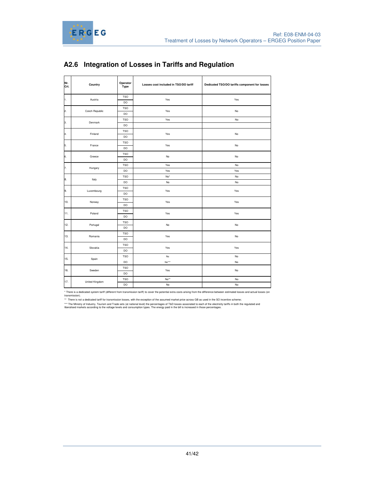



| Nr.<br>Crt. | Country        | Operator<br>Type | Losses cost included in TSO/DO tariff | Dedicated TSO/DO tariffs component for losses |  |  |
|-------------|----------------|------------------|---------------------------------------|-----------------------------------------------|--|--|
| 1.          | Austria        | <b>TSO</b>       | Yes                                   | Yes                                           |  |  |
|             |                | DO               |                                       |                                               |  |  |
| 2.          | Czech Republic | <b>TSO</b>       | Yes                                   | No                                            |  |  |
|             |                | DO               |                                       |                                               |  |  |
| 3.          | Denmark        | <b>TSO</b>       | Yes                                   | No                                            |  |  |
|             |                | DO               |                                       |                                               |  |  |
| 4.          | Finland        | <b>TSO</b>       | Yes                                   | No                                            |  |  |
|             |                | DO               |                                       |                                               |  |  |
| 5.          | France         | <b>TSO</b>       | Yes                                   | No                                            |  |  |
|             |                | DO               |                                       |                                               |  |  |
| 6.          | Greece         | <b>TSO</b>       | No                                    |                                               |  |  |
|             |                | DO               |                                       | No                                            |  |  |
| 7.          | Hungary        | <b>TSO</b>       | Yes                                   | No                                            |  |  |
|             |                | DO               | Yes                                   | Yes                                           |  |  |
| 8.          |                | <b>TSO</b>       | No*                                   | No                                            |  |  |
|             | Italy          | DO               | No                                    | No                                            |  |  |
| 9.          | Luxembourg     | <b>TSO</b>       | Yes                                   | Yes                                           |  |  |
|             |                | DO               |                                       |                                               |  |  |
| 10.         |                | <b>TSO</b>       | Yes                                   | Yes                                           |  |  |
|             | Norway         | DO               |                                       |                                               |  |  |
| 11.         | Poland         | <b>TSO</b>       | Yes                                   | Yes                                           |  |  |
|             |                | DO               |                                       |                                               |  |  |
| 12.         | Portugal       | <b>TSO</b>       | No                                    |                                               |  |  |
|             |                | DO               |                                       | No                                            |  |  |
| 13.         | Romania        | <b>TSO</b>       | Yes                                   | No                                            |  |  |
|             |                | DO               |                                       |                                               |  |  |
| 14.         | Slovakia       | <b>TSO</b>       | Yes                                   | Yes                                           |  |  |
|             |                | DO               |                                       |                                               |  |  |
| 15.         |                | <b>TSO</b>       | No                                    | No                                            |  |  |
|             | Spain          | DO               | $No***$                               | No                                            |  |  |
| 16.         | Sweden         | <b>TSO</b>       | Yes                                   | No                                            |  |  |
|             |                | DO               |                                       |                                               |  |  |
|             |                | <b>TSO</b>       | No**                                  | No                                            |  |  |
| 17.         | United Kingdom | DO               | No                                    | No                                            |  |  |

# **A2.6 Integration of Losses in Tariffs and Regulation**

\* There is a dedicated system tariff (different from transmission tariff) to cover the potential extra costs arising from the difference between estimated losses and actual losses (on transmission).

\*\* There is not a dedicated tariff for transmission losses, with the exception of the assumed market price across GB as used in the SO incentive scheme;

\*\*\* The Ministry of Industry, Tourism and Trade sets (at national level) the percentages of T&D losses associated to each of the electricity tariffs in both the regulated and<br>liberalised markets according to the voltage le